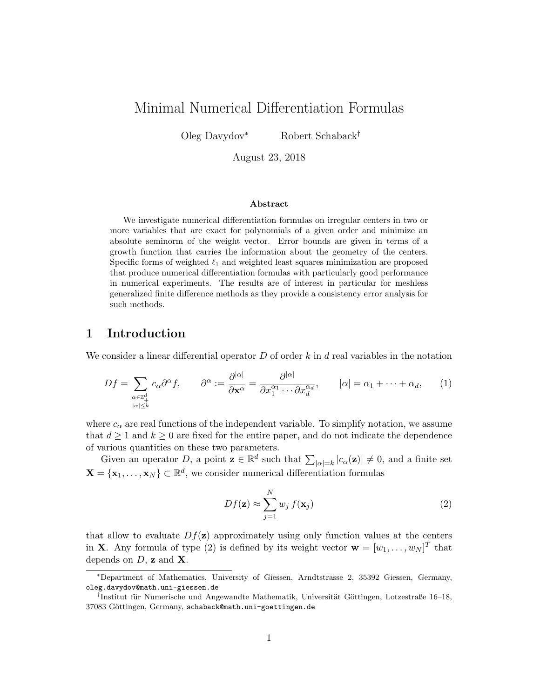# Minimal Numerical Differentiation Formulas

Oleg Davydov<sup>∗</sup> Robert Schaback†

August 23, 2018

#### Abstract

We investigate numerical differentiation formulas on irregular centers in two or more variables that are exact for polynomials of a given order and minimize an absolute seminorm of the weight vector. Error bounds are given in terms of a growth function that carries the information about the geometry of the centers. Specific forms of weighted  $\ell_1$  and weighted least squares minimization are proposed that produce numerical differentiation formulas with particularly good performance in numerical experiments. The results are of interest in particular for meshless generalized finite difference methods as they provide a consistency error analysis for such methods.

## 1 Introduction

We consider a linear differential operator  $D$  of order k in d real variables in the notation

$$
Df = \sum_{\substack{\alpha \in \mathbb{Z}_+^d \\ |\alpha| \le k}} c_\alpha \partial^\alpha f, \qquad \partial^\alpha := \frac{\partial^{|\alpha|}}{\partial \mathbf{x}^\alpha} = \frac{\partial^{|\alpha|}}{\partial x_1^{\alpha_1} \cdots \partial x_d^{\alpha_d}}, \qquad |\alpha| = \alpha_1 + \cdots + \alpha_d, \qquad (1)
$$

where  $c_{\alpha}$  are real functions of the independent variable. To simplify notation, we assume that  $d \geq 1$  and  $k \geq 0$  are fixed for the entire paper, and do not indicate the dependence of various quantities on these two parameters.

Given an operator D, a point  $\mathbf{z} \in \mathbb{R}^d$  such that  $\sum_{|\alpha|=k} |c_{\alpha}(\mathbf{z})| \neq 0$ , and a finite set  $\mathbf{X} = \{\mathbf{x}_1, \dots, \mathbf{x}_N\} \subset \mathbb{R}^d$ , we consider numerical differentiation formulas

$$
Df(\mathbf{z}) \approx \sum_{j=1}^{N} w_j f(\mathbf{x}_j)
$$
 (2)

that allow to evaluate  $Df(z)$  approximately using only function values at the centers in **X**. Any formula of type (2) is defined by its weight vector  $\mathbf{w} = [w_1, \dots, w_N]^T$  that depends on  $D$ , **z** and **X**.

<sup>∗</sup>Department of Mathematics, University of Giessen, Arndtstrasse 2, 35392 Giessen, Germany, oleg.davydov@math.uni-giessen.de

<sup>&</sup>lt;sup>†</sup>Institut für Numerische und Angewandte Mathematik, Universität Göttingen, Lotzestraße 16–18, 37083 Göttingen, Germany, schaback@math.uni-goettingen.de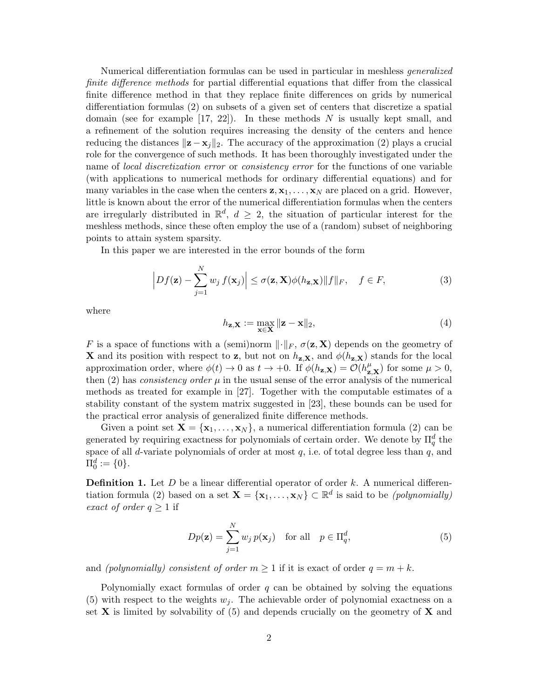Numerical differentiation formulas can be used in particular in meshless generalized finite difference methods for partial differential equations that differ from the classical finite difference method in that they replace finite differences on grids by numerical differentiation formulas (2) on subsets of a given set of centers that discretize a spatial domain (see for example  $[17, 22]$ ). In these methods N is usually kept small, and a refinement of the solution requires increasing the density of the centers and hence reducing the distances  $\|\mathbf{z}-\mathbf{x}_j\|_2$ . The accuracy of the approximation (2) plays a crucial role for the convergence of such methods. It has been thoroughly investigated under the name of *local discretization error* or *consistency error* for the functions of one variable (with applications to numerical methods for ordinary differential equations) and for many variables in the case when the centers  $z, x_1, \ldots, x_N$  are placed on a grid. However, little is known about the error of the numerical differentiation formulas when the centers are irregularly distributed in  $\mathbb{R}^d$ ,  $d \geq 2$ , the situation of particular interest for the meshless methods, since these often employ the use of a (random) subset of neighboring points to attain system sparsity.

In this paper we are interested in the error bounds of the form

$$
\left|Df(\mathbf{z}) - \sum_{j=1}^{N} w_j f(\mathbf{x}_j)\right| \le \sigma(\mathbf{z}, \mathbf{X}) \phi(h_{\mathbf{z}, \mathbf{X}}) \|f\|_F, \quad f \in F,
$$
\n(3)

where

$$
h_{\mathbf{z},\mathbf{X}} := \max_{\mathbf{x} \in \mathbf{X}} \|\mathbf{z} - \mathbf{x}\|_2,\tag{4}
$$

F is a space of functions with a (semi)norm  $\lVert \cdot \rVert_F$ ,  $\sigma(\mathbf{z}, \mathbf{X})$  depends on the geometry of **X** and its position with respect to **z**, but not on  $h_{z,X}$ , and  $\phi(h_{z,X})$  stands for the local approximation order, where  $\phi(t) \to 0$  as  $t \to +0$ . If  $\phi(h_{\mathbf{z},\mathbf{X}}) = \mathcal{O}(h_{\mathbf{z},\mathbf{X}}^{\mu})$  for some  $\mu > 0$ , then (2) has *consistency order*  $\mu$  in the usual sense of the error analysis of the numerical methods as treated for example in [27]. Together with the computable estimates of a stability constant of the system matrix suggested in [23], these bounds can be used for the practical error analysis of generalized finite difference methods.

Given a point set  $X = \{x_1, \ldots, x_N\}$ , a numerical differentiation formula (2) can be generated by requiring exactness for polynomials of certain order. We denote by  $\Pi_q^d$  the space of all d-variate polynomials of order at most  $q$ , i.e. of total degree less than  $q$ , and  $\Pi_0^d := \{0\}.$ 

**Definition 1.** Let  $D$  be a linear differential operator of order  $k$ . A numerical differentiation formula (2) based on a set  $\mathbf{X} = \{x_1, \ldots, x_N\} \subset \mathbb{R}^d$  is said to be *(polynomially)* exact of order  $q \geq 1$  if

$$
Dp(\mathbf{z}) = \sum_{j=1}^{N} w_j p(\mathbf{x}_j) \quad \text{for all} \quad p \in \Pi_q^d,
$$
 (5)

and (polynomially) consistent of order  $m \geq 1$  if it is exact of order  $q = m + k$ .

Polynomially exact formulas of order  $q$  can be obtained by solving the equations (5) with respect to the weights  $w_i$ . The achievable order of polynomial exactness on a set **X** is limited by solvability of  $(5)$  and depends crucially on the geometry of **X** and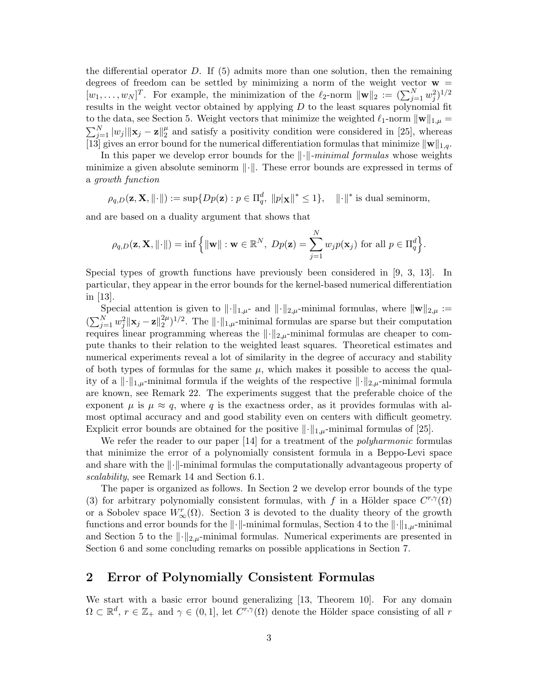the differential operator  $D$ . If  $(5)$  admits more than one solution, then the remaining degrees of freedom can be settled by minimizing a norm of the weight vector  $w =$  $[w_1,\ldots,w_N]^T$ . For example, the minimization of the  $\ell_2$ -norm  $\|\mathbf{w}\|_2 := (\sum_{j=1}^N w_j^2)^{1/2}$ results in the weight vector obtained by applying  $D$  to the least squares polynomial fit to the data, see Section 5. Weight vectors that minimize the weighted  $\ell_1$ -norm  $\|\mathbf{w}\|_{1,\mu} =$  $\sum_{j=1}^N \vert w_j \vert \Vert \mathbf{x}_j - \mathbf{z} \Vert_2^{\mu}$  $\frac{\mu}{2}$  and satisfy a positivity condition were considered in [25], whereas [13] gives an error bound for the numerical differentiation formulas that minimize  $\|\mathbf{w}\|_{1,q}$ .

In this paper we develop error bounds for the  $\lVert \cdot \rVert$ -minimal formulas whose weights minimize a given absolute seminorm  $\|\cdot\|$ . These error bounds are expressed in terms of a growth function

 $\rho_{q,D}(\mathbf{z}, \mathbf{X}, \| \cdot \|) := \sup \{ Dp(\mathbf{z}) : p \in \Pi_q^d, \|p|\mathbf{x}\|^* \leq 1 \}, \quad \| \cdot \|^\ast$  is dual seminorm,

and are based on a duality argument that shows that

$$
\rho_{q,D}(\mathbf{z}, \mathbf{X}, \| \cdot \|) = \inf \left\{ \| \mathbf{w} \| : \mathbf{w} \in \mathbb{R}^N, \ Dp(\mathbf{z}) = \sum_{j=1}^N w_j p(\mathbf{x}_j) \text{ for all } p \in \Pi_q^d \right\}.
$$

Special types of growth functions have previously been considered in [9, 3, 13]. In particular, they appear in the error bounds for the kernel-based numerical differentiation in [13].

Special attention is given to  $\|\cdot\|_{1,\mu}$ - and  $\|\cdot\|_{2,\mu}$ -minimal formulas, where  $\|\mathbf{w}\|_{2,\mu} :=$  $(\sum_{j=1}^{N} w_j^2 \|\mathbf{x}_j - \mathbf{z}\|_2^{2\mu})$  $\binom{2\mu}{2}$ <sup>1/2</sup>. The  $\|\cdot\|_{1,\mu}$ -minimal formulas are sparse but their computation requires linear programming whereas the  $\lVert \cdot \rVert_{2,\mu}$ -minimal formulas are cheaper to compute thanks to their relation to the weighted least squares. Theoretical estimates and numerical experiments reveal a lot of similarity in the degree of accuracy and stability of both types of formulas for the same  $\mu$ , which makes it possible to access the quality of a  $\|\cdot\|_{1,\mu}$ -minimal formula if the weights of the respective  $\|\cdot\|_{2,\mu}$ -minimal formula are known, see Remark 22. The experiments suggest that the preferable choice of the exponent  $\mu$  is  $\mu \approx q$ , where q is the exactness order, as it provides formulas with almost optimal accuracy and and good stability even on centers with difficult geometry. Explicit error bounds are obtained for the positive  $\lVert \cdot \rVert_{1,\mu}$ -minimal formulas of [25].

We refer the reader to our paper [14] for a treatment of the *polyharmonic* formulas that minimize the error of a polynomially consistent formula in a Beppo-Levi space and share with the  $\lVert \cdot \rVert$ -minimal formulas the computationally advantageous property of scalability, see Remark 14 and Section 6.1.

The paper is organized as follows. In Section 2 we develop error bounds of the type (3) for arbitrary polynomially consistent formulas, with f in a Hölder space  $C^{r,\gamma}(\Omega)$ or a Sobolev space  $W^r_{\infty}(\Omega)$ . Section 3 is devoted to the duality theory of the growth functions and error bounds for the  $\|\cdot\|$ -minimal formulas, Section 4 to the  $\|\cdot\|_{1,\mu}$ -minimal and Section 5 to the  $\lVert \cdot \rVert_{2,\mu}$ -minimal formulas. Numerical experiments are presented in Section 6 and some concluding remarks on possible applications in Section 7.

### 2 Error of Polynomially Consistent Formulas

We start with a basic error bound generalizing [13, Theorem 10]. For any domain  $\Omega \subset \mathbb{R}^d$ ,  $r \in \mathbb{Z}_+$  and  $\gamma \in (0,1]$ , let  $C^{r,\gamma}(\Omega)$  denote the Hölder space consisting of all r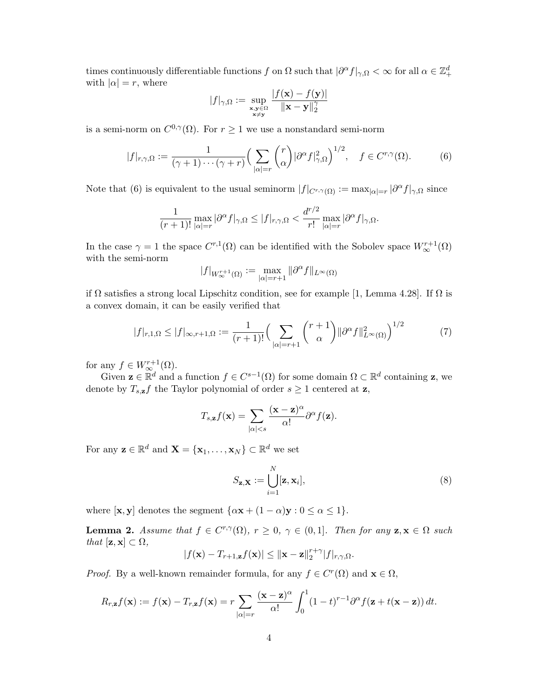times continuously differentiable functions f on  $\Omega$  such that  $|\partial^{\alpha} f|_{\gamma,\Omega} < \infty$  for all  $\alpha \in \mathbb{Z}_{+}^{d}$ with  $|\alpha| = r$ , where

$$
|f|_{\gamma,\Omega} := \sup_{\substack{\mathbf{x},\mathbf{y}\in\Omega\\ \mathbf{x}\neq\mathbf{y}}} \frac{|f(\mathbf{x}) - f(\mathbf{y})|}{\|\mathbf{x} - \mathbf{y}\|_2^{\gamma}}
$$

is a semi-norm on  $C^{0,\gamma}(\Omega)$ . For  $r \geq 1$  we use a nonstandard semi-norm

$$
|f|_{r,\gamma,\Omega} := \frac{1}{(\gamma+1)\cdots(\gamma+r)} \Big(\sum_{|\alpha|=r} {r \choose \alpha} |\partial^{\alpha} f|_{\gamma,\Omega}^2\Big)^{1/2}, \quad f \in C^{r,\gamma}(\Omega). \tag{6}
$$

Note that (6) is equivalent to the usual seminorm  $|f|_{C^{r,\gamma}(\Omega)} := \max_{|\alpha|=r} |\partial^{\alpha} f|_{\gamma,\Omega}$  since

$$
\frac{1}{(r+1)!} \max_{|\alpha|=r} |\partial^{\alpha} f|_{\gamma,\Omega} \leq |f|_{r,\gamma,\Omega} < \frac{d^{r/2}}{r!} \max_{|\alpha|=r} |\partial^{\alpha} f|_{\gamma,\Omega}.
$$

In the case  $\gamma = 1$  the space  $C^{r,1}(\Omega)$  can be identified with the Sobolev space  $W^{r+1}_{\infty}(\Omega)$ with the semi-norm

$$
|f|_{W^{r+1}_{\infty}(\Omega)} := \max_{|\alpha|=r+1} \|\partial^{\alpha} f\|_{L^{\infty}(\Omega)}
$$

if Ω satisfies a strong local Lipschitz condition, see for example [1, Lemma 4.28]. If Ω is a convex domain, it can be easily verified that

$$
|f|_{r,1,\Omega} \le |f|_{\infty,r+1,\Omega} := \frac{1}{(r+1)!} \Big(\sum_{|\alpha|=r+1} {r+1 \choose \alpha} ||\partial^{\alpha}f||_{L^{\infty}(\Omega)}^2\Big)^{1/2} \tag{7}
$$

for any  $f \in W^{r+1}_{\infty}(\Omega)$ .

Given  $\mathbf{z} \in \mathbb{R}^d$  and a function  $f \in C^{s-1}(\Omega)$  for some domain  $\Omega \subset \mathbb{R}^d$  containing  $\mathbf{z}$ , we denote by  $T_{s,z}f$  the Taylor polynomial of order  $s \geq 1$  centered at z,

$$
T_{s,\mathbf{z}}f(\mathbf{x}) = \sum_{|\alpha|< s} \frac{(\mathbf{x}-\mathbf{z})^{\alpha}}{\alpha!} \partial^{\alpha} f(\mathbf{z}).
$$

For any  $\mathbf{z} \in \mathbb{R}^d$  and  $\mathbf{X} = \{\mathbf{x}_1, \dots, \mathbf{x}_N\} \subset \mathbb{R}^d$  we set

$$
S_{\mathbf{z},\mathbf{X}} := \bigcup_{i=1}^{N} [\mathbf{z}, \mathbf{x}_i],
$$
\n(8)

where  $[\mathbf{x}, \mathbf{y}]$  denotes the segment  $\{\alpha \mathbf{x} + (1 - \alpha)\mathbf{y} : 0 \le \alpha \le 1\}.$ 

**Lemma 2.** Assume that  $f \in C^{r,\gamma}(\Omega)$ ,  $r \geq 0$ ,  $\gamma \in (0,1]$ . Then for any  $z, x \in \Omega$  such that  $[\mathbf{z}, \mathbf{x}] \subset \Omega$ ,

$$
|f(\mathbf{x}) - T_{r+1,\mathbf{z}}f(\mathbf{x})| \le ||\mathbf{x} - \mathbf{z}||_2^{r+\gamma} |f|_{r,\gamma,\Omega}.
$$

*Proof.* By a well-known remainder formula, for any  $f \in C^r(\Omega)$  and  $\mathbf{x} \in \Omega$ ,

$$
R_{r,\mathbf{z}}f(\mathbf{x}) := f(\mathbf{x}) - T_{r,\mathbf{z}}f(\mathbf{x}) = r \sum_{|\alpha|=r} \frac{(\mathbf{x}-\mathbf{z})^{\alpha}}{\alpha!} \int_0^1 (1-t)^{r-1} \partial^{\alpha} f(\mathbf{z}+t(\mathbf{x}-\mathbf{z})) dt.
$$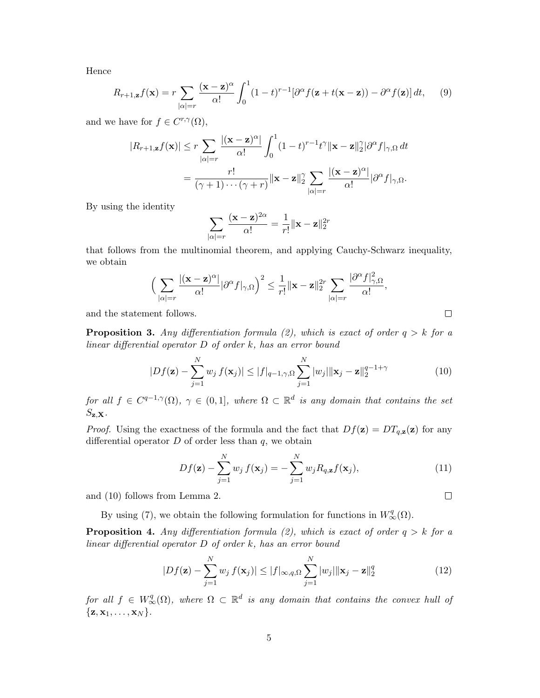Hence

$$
R_{r+1,\mathbf{z}}f(\mathbf{x}) = r \sum_{|\alpha|=r} \frac{(\mathbf{x}-\mathbf{z})^{\alpha}}{\alpha!} \int_0^1 (1-t)^{r-1} [\partial^{\alpha} f(\mathbf{z}+t(\mathbf{x}-\mathbf{z})) - \partial^{\alpha} f(\mathbf{z})] dt, \qquad (9)
$$

and we have for  $f \in C^{r,\gamma}(\Omega)$ ,

$$
|R_{r+1,\mathbf{z}}f(\mathbf{x})| \leq r \sum_{|\alpha|=r} \frac{|(\mathbf{x}-\mathbf{z})^{\alpha}|}{\alpha!} \int_0^1 (1-t)^{r-1} t^{\gamma} ||\mathbf{x}-\mathbf{z}||_2^{\gamma} |\partial^{\alpha} f|_{\gamma,\Omega} dt
$$
  
= 
$$
\frac{r!}{(\gamma+1)\cdots(\gamma+r)} ||\mathbf{x}-\mathbf{z}||_2^{\gamma} \sum_{|\alpha|=r} \frac{|(\mathbf{x}-\mathbf{z})^{\alpha}|}{\alpha!} |\partial^{\alpha} f|_{\gamma,\Omega}.
$$

By using the identity

$$
\sum_{|\alpha|=r} \frac{(\mathbf{x}-\mathbf{z})^{2\alpha}}{\alpha!} = \frac{1}{r!} ||\mathbf{x}-\mathbf{z}||_2^{2r}
$$

that follows from the multinomial theorem, and applying Cauchy-Schwarz inequality, we obtain

$$
\Big(\sum_{|\alpha|=r}\frac{|(\mathbf{x}-\mathbf{z})^{\alpha}|}{\alpha!}|\partial^{\alpha}f|_{\gamma,\Omega}\Big)^2\leq\frac{1}{r!}\|\mathbf{x}-\mathbf{z}\|_2^{2r}\sum_{|\alpha|=r}\frac{|\partial^{\alpha}f|_{\gamma,\Omega}^2}{\alpha!},
$$

and the statement follows.

**Proposition 3.** Any differentiation formula (2), which is exact of order  $q > k$  for a linear differential operator D of order k, has an error bound

$$
|Df(\mathbf{z}) - \sum_{j=1}^{N} w_j f(\mathbf{x}_j)| \le |f|_{q-1,\gamma,\Omega} \sum_{j=1}^{N} |w_j| \|\mathbf{x}_j - \mathbf{z}\|_2^{q-1+\gamma}
$$
(10)

for all  $f \in C^{q-1,\gamma}(\Omega)$ ,  $\gamma \in (0,1]$ , where  $\Omega \subset \mathbb{R}^d$  is any domain that contains the set  $S_{\mathbf{z},\mathbf{X}}$ .

*Proof.* Using the exactness of the formula and the fact that  $Df(\mathbf{z}) = DT_{q,\mathbf{z}}(\mathbf{z})$  for any differential operator  $D$  of order less than  $q$ , we obtain

$$
Df(\mathbf{z}) - \sum_{j=1}^{N} w_j f(\mathbf{x}_j) = -\sum_{j=1}^{N} w_j R_{q,\mathbf{z}} f(\mathbf{x}_j),
$$
\n(11)

and (10) follows from Lemma 2.

By using (7), we obtain the following formulation for functions in  $W^q_{\infty}(\Omega)$ .

**Proposition 4.** Any differentiation formula (2), which is exact of order  $q > k$  for a linear differential operator D of order k, has an error bound

$$
|Df(\mathbf{z}) - \sum_{j=1}^{N} w_j f(\mathbf{x}_j)| \le |f|_{\infty, q, \Omega} \sum_{j=1}^{N} |w_j| \|\mathbf{x}_j - \mathbf{z}\|_2^q
$$
 (12)

for all  $f \in W^q_\infty(\Omega)$ , where  $\Omega \subset \mathbb{R}^d$  is any domain that contains the convex hull of  $\{\mathbf z, \mathbf x_1, \ldots, \mathbf x_N\}.$ 

 $\Box$ 

 $\Box$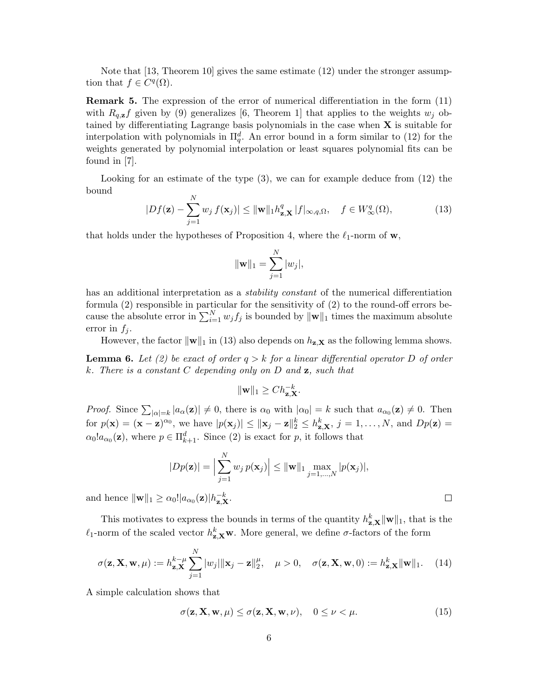Note that [13, Theorem 10] gives the same estimate (12) under the stronger assumption that  $f \in C<sup>q</sup>(\Omega)$ .

Remark 5. The expression of the error of numerical differentiation in the form (11) with  $R_{q,\mathbf{z}}f$  given by (9) generalizes [6, Theorem 1] that applies to the weights  $w_j$  obtained by differentiating Lagrange basis polynomials in the case when  $X$  is suitable for interpolation with polynomials in  $\Pi_q^d$ . An error bound in a form similar to (12) for the weights generated by polynomial interpolation or least squares polynomial fits can be found in [7].

Looking for an estimate of the type (3), we can for example deduce from (12) the bound

$$
|Df(\mathbf{z}) - \sum_{j=1}^{N} w_j f(\mathbf{x}_j)| \le ||\mathbf{w}||_1 h_{\mathbf{z}, \mathbf{X}}^q |f|_{\infty, q, \Omega}, \quad f \in W^q_{\infty}(\Omega), \tag{13}
$$

that holds under the hypotheses of Proposition 4, where the  $\ell_1$ -norm of w,

$$
\|\mathbf{w}\|_1 = \sum_{j=1}^N |w_j|,
$$

has an additional interpretation as a *stability constant* of the numerical differentiation formula (2) responsible in particular for the sensitivity of (2) to the round-off errors because the absolute error in  $\sum_{i=1}^{N} w_j f_j$  is bounded by  $\|\mathbf{w}\|_1$  times the maximum absolute error in  $f_i$ .

However, the factor  $\|\mathbf{w}\|_1$  in (13) also depends on  $h_{\mathbf{z},\mathbf{X}}$  as the following lemma shows.

**Lemma 6.** Let (2) be exact of order  $q > k$  for a linear differential operator D of order k. There is a constant  $C$  depending only on  $D$  and  $\mathbf{z}$ , such that

$$
\|\mathbf{w}\|_1 \ge Ch_{\mathbf{z},\mathbf{X}}^{-k}.
$$

*Proof.* Since  $\sum_{|\alpha|=k} |a_{\alpha}(\mathbf{z})| \neq 0$ , there is  $\alpha_0$  with  $|\alpha_0| = k$  such that  $a_{\alpha_0}(\mathbf{z}) \neq 0$ . Then for  $p(\mathbf{x}) = (\mathbf{x} - \mathbf{z})^{\alpha_0}$ , we have  $|p(\mathbf{x}_j)| \le ||\mathbf{x}_j - \mathbf{z}||_2^k \le h_{\mathbf{z}, \mathbf{X}}^k$ ,  $j = 1, ..., N$ , and  $Dp(\mathbf{z}) =$  $\alpha_0! a_{\alpha_0}(\mathbf{z})$ , where  $p \in \Pi_{k+1}^d$ . Since (2) is exact for p, it follows that

$$
|Dp(\mathbf{z})| = \Big|\sum_{j=1}^N w_j p(\mathbf{x}_j)\Big| \leq ||\mathbf{w}||_1 \max_{j=1,\dots,N} |p(\mathbf{x}_j)|,
$$

and hence  $\|\mathbf{w}\|_1 \geq \alpha_0! |a_{\alpha_0}(\mathbf{z})| h_{\mathbf{z}, \mathbf{X}}^{-k}$ .

This motivates to express the bounds in terms of the quantity  $h_{\mathbf{z},\mathbf{X}}^k \|\mathbf{w}\|_1$ , that is the  $\ell_1$ -norm of the scaled vector  $h_{\mathbf{z},\mathbf{X}}^k$  W. More general, we define  $\sigma$ -factors of the form

$$
\sigma(\mathbf{z}, \mathbf{X}, \mathbf{w}, \mu) := h_{\mathbf{z}, \mathbf{X}}^{k-\mu} \sum_{j=1}^{N} |w_j| \|\mathbf{x}_j - \mathbf{z}\|_2^{\mu}, \quad \mu > 0, \quad \sigma(\mathbf{z}, \mathbf{X}, \mathbf{w}, 0) := h_{\mathbf{z}, \mathbf{X}}^{k} \|\mathbf{w}\|_1.
$$
 (14)

A simple calculation shows that

$$
\sigma(\mathbf{z}, \mathbf{X}, \mathbf{w}, \mu) \le \sigma(\mathbf{z}, \mathbf{X}, \mathbf{w}, \nu), \quad 0 \le \nu < \mu. \tag{15}
$$

 $\Box$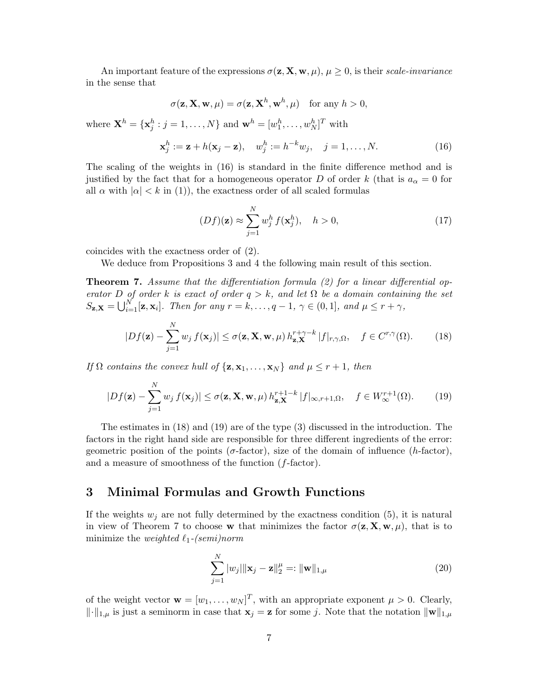An important feature of the expressions  $\sigma(\mathbf{z}, \mathbf{X}, \mathbf{w}, \mu)$ ,  $\mu \geq 0$ , is their scale-invariance in the sense that

$$
\sigma(\mathbf{z}, \mathbf{X}, \mathbf{w}, \mu) = \sigma(\mathbf{z}, \mathbf{X}^h, \mathbf{w}^h, \mu) \quad \text{for any } h > 0,
$$

where  $\mathbf{X}^h = {\mathbf{x}_j^h : j = 1, ..., N}$  and  $\mathbf{w}^h = [w_1^h, \dots, w_N^h]^T$  with

$$
\mathbf{x}_j^h := \mathbf{z} + h(\mathbf{x}_j - \mathbf{z}), \quad w_j^h := h^{-k} w_j, \quad j = 1, \dots, N. \tag{16}
$$

The scaling of the weights in (16) is standard in the finite difference method and is justified by the fact that for a homogeneous operator D of order k (that is  $a_{\alpha} = 0$  for all  $\alpha$  with  $|\alpha| < k$  in (1)), the exactness order of all scaled formulas

$$
(Df)(\mathbf{z}) \approx \sum_{j=1}^{N} w_j^h f(\mathbf{x}_j^h), \quad h > 0,
$$
\n(17)

coincides with the exactness order of (2).

We deduce from Propositions 3 and 4 the following main result of this section.

Theorem 7. Assume that the differentiation formula (2) for a linear differential operator D of order k is exact of order  $q > k$ , and let  $\Omega$  be a domain containing the set  $S_{\mathbf{z},\mathbf{X}} = \bigcup_{i=1}^{N} [\mathbf{z}, \mathbf{x}_i].$  Then for any  $r = k, \ldots, q - 1, \gamma \in (0, 1],$  and  $\mu \leq r + \gamma$ ,

$$
|Df(\mathbf{z}) - \sum_{j=1}^{N} w_j f(\mathbf{x}_j)| \le \sigma(\mathbf{z}, \mathbf{X}, \mathbf{w}, \mu) h_{\mathbf{z}, \mathbf{X}}^{r + \gamma - k} |f|_{r, \gamma, \Omega}, \quad f \in C^{r, \gamma}(\Omega). \tag{18}
$$

If  $\Omega$  contains the convex hull of  $\{z, x_1, \ldots, x_N\}$  and  $\mu \leq r+1$ , then

$$
|Df(\mathbf{z}) - \sum_{j=1}^{N} w_j f(\mathbf{x}_j)| \le \sigma(\mathbf{z}, \mathbf{X}, \mathbf{w}, \mu) h_{\mathbf{z}, \mathbf{X}}^{r+1-k} |f|_{\infty, r+1, \Omega}, \quad f \in W_{\infty}^{r+1}(\Omega). \tag{19}
$$

The estimates in (18) and (19) are of the type (3) discussed in the introduction. The factors in the right hand side are responsible for three different ingredients of the error: geometric position of the points ( $\sigma$ -factor), size of the domain of influence (h-factor), and a measure of smoothness of the function (f-factor).

### 3 Minimal Formulas and Growth Functions

If the weights  $w_i$  are not fully determined by the exactness condition (5), it is natural in view of Theorem 7 to choose w that minimizes the factor  $\sigma(\mathbf{z}, \mathbf{X}, \mathbf{w}, \mu)$ , that is to minimize the weighted  $\ell_1$ -(semi)norm

$$
\sum_{j=1}^{N} |w_j| \|\mathbf{x}_j - \mathbf{z}\|_2^{\mu} =: \|\mathbf{w}\|_{1,\mu}
$$
\n(20)

of the weight vector  $\mathbf{w} = [w_1, \dots, w_N]^T$ , with an appropriate exponent  $\mu > 0$ . Clearly,  $\|\cdot\|_{1,\mu}$  is just a seminorm in case that  $\mathbf{x}_j = \mathbf{z}$  for some j. Note that the notation  $\|\mathbf{w}\|_{1,\mu}$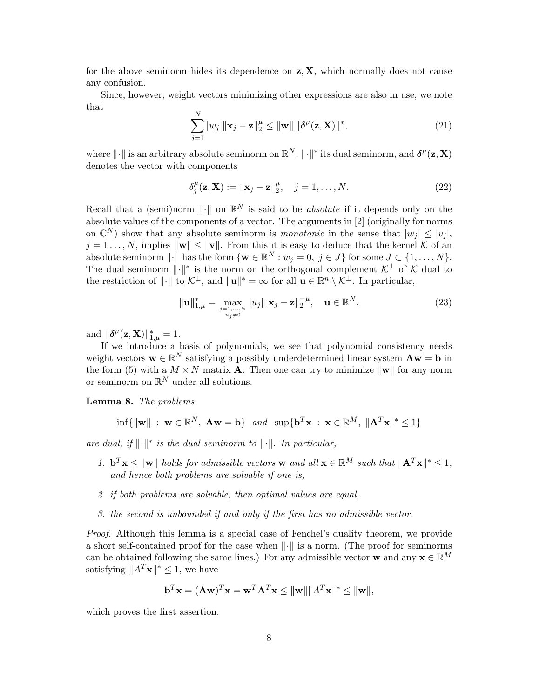for the above seminorm hides its dependence on  $z, X$ , which normally does not cause any confusion.

Since, however, weight vectors minimizing other expressions are also in use, we note that  $\mathbf{v}$ 

$$
\sum_{j=1}^{N} |w_j| \|\mathbf{x}_j - \mathbf{z}\|_2^{\mu} \le \|\mathbf{w}\| \|\boldsymbol{\delta}^{\mu}(\mathbf{z}, \mathbf{X})\|^*,
$$
\n(21)

where  $\|\cdot\|$  is an arbitrary absolute seminorm on  $\mathbb{R}^N$ ,  $\|\cdot\|^*$  its dual seminorm, and  $\delta^{\mu}(\mathbf{z}, \mathbf{X})$ denotes the vector with components

$$
\delta_j^{\mu}(\mathbf{z}, \mathbf{X}) := \|\mathbf{x}_j - \mathbf{z}\|_2^{\mu}, \quad j = 1, \dots, N.
$$
 (22)

Recall that a (semi)norm  $\|\cdot\|$  on  $\mathbb{R}^N$  is said to be *absolute* if it depends only on the absolute values of the components of a vector. The arguments in [2] (originally for norms on  $\mathbb{C}^N$ ) show that any absolute seminorm is *monotonic* in the sense that  $|w_j| \leq |v_j|$ ,  $j = 1 \dots, N$ , implies  $\|\mathbf{w}\| \leq \|\mathbf{v}\|$ . From this it is easy to deduce that the kernel K of an absolute seminorm  $\|\cdot\|$  has the form  $\{\mathbf{w} \in \mathbb{R}^N : w_j = 0, j \in J\}$  for some  $J \subset \{1, \ldots, N\}$ . The dual seminorm  $\lVert \cdot \rVert^*$  is the norm on the orthogonal complement  $\mathcal{K}^{\perp}$  of K dual to the restriction of  $\|\cdot\|$  to  $\mathcal{K}^{\perp}$ , and  $\|\mathbf{u}\|^* = \infty$  for all  $\mathbf{u} \in \mathbb{R}^n \setminus \mathcal{K}^{\perp}$ . In particular,

$$
\|\mathbf{u}\|_{1,\mu}^* = \max_{\substack{j=1,\dots,N\\u_j\neq 0}} |u_j| \|\mathbf{x}_j - \mathbf{z}\|_2^{-\mu}, \quad \mathbf{u} \in \mathbb{R}^N,
$$
\n(23)

and  $\|\boldsymbol{\delta}^{\mu}(\mathbf{z}, \mathbf{X})\|_{1,\mu}^{*} = 1.$ 

If we introduce a basis of polynomials, we see that polynomial consistency needs weight vectors  $\mathbf{w} \in \mathbb{R}^N$  satisfying a possibly underdetermined linear system  $\mathbf{A}\mathbf{w} = \mathbf{b}$  in the form (5) with a  $M \times N$  matrix **A**. Then one can try to minimize  $\|\mathbf{w}\|$  for any norm or seminorm on  $\mathbb{R}^N$  under all solutions.

Lemma 8. The problems

$$
\inf\{\|\mathbf{w}\| \ : \ \mathbf{w} \in \mathbb{R}^N, \ \mathbf{A}\mathbf{w} = \mathbf{b}\} \quad and \quad \sup\{\mathbf{b}^T\mathbf{x} \ : \ \mathbf{x} \in \mathbb{R}^M, \ \|\mathbf{A}^T\mathbf{x}\|^* \le 1\}
$$

are dual, if  $\|\cdot\|^*$  is the dual seminorm to  $\|\cdot\|$ . In particular,

- 1.  $\mathbf{b}^T \mathbf{x} \le ||\mathbf{w}||$  holds for admissible vectors w and all  $\mathbf{x} \in \mathbb{R}^M$  such that  $||\mathbf{A}^T \mathbf{x}||^* \leq 1$ , and hence both problems are solvable if one is,
- 2. if both problems are solvable, then optimal values are equal,
- 3. the second is unbounded if and only if the first has no admissible vector.

Proof. Although this lemma is a special case of Fenchel's duality theorem, we provide a short self-contained proof for the case when  $\|\cdot\|$  is a norm. (The proof for seminorms can be obtained following the same lines.) For any admissible vector w and any  $\mathbf{x} \in \mathbb{R}^M$ satisfying  $||A^T \mathbf{x}||^* \leq 1$ , we have

$$
\mathbf{b}^T \mathbf{x} = (\mathbf{A}\mathbf{w})^T \mathbf{x} = \mathbf{w}^T \mathbf{A}^T \mathbf{x} \le ||\mathbf{w}|| ||A^T \mathbf{x}||^* \le ||\mathbf{w}||,
$$

which proves the first assertion.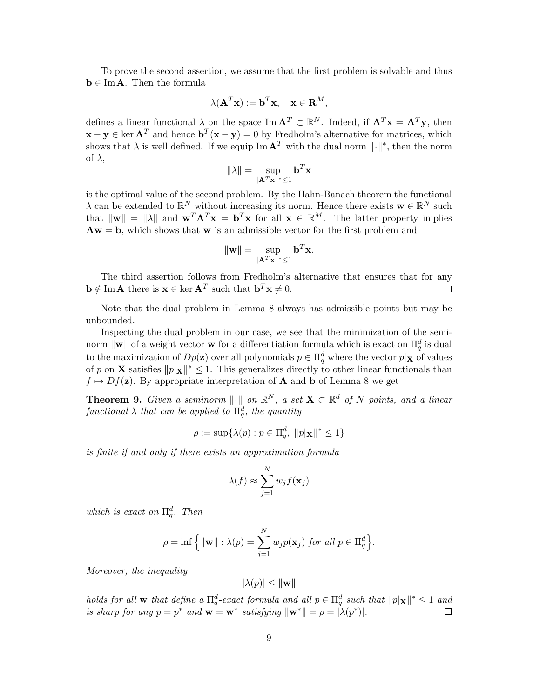To prove the second assertion, we assume that the first problem is solvable and thus  $\mathbf{b} \in \text{Im}\,\mathbf{A}$ . Then the formula

$$
\lambda(\mathbf{A}^T \mathbf{x}) := \mathbf{b}^T \mathbf{x}, \quad \mathbf{x} \in \mathbf{R}^M,
$$

defines a linear functional  $\lambda$  on the space Im  $\mathbf{A}^T \subset \mathbb{R}^N$ . Indeed, if  $\mathbf{A}^T \mathbf{x} = \mathbf{A}^T \mathbf{y}$ , then  $\mathbf{x} - \mathbf{y} \in \ker \mathbf{A}^T$  and hence  $\mathbf{b}^T(\mathbf{x} - \mathbf{y}) = 0$  by Fredholm's alternative for matrices, which shows that  $\lambda$  is well defined. If we equip  $\text{Im} \mathbf{A}^T$  with the dual norm  $\lVert \cdot \rVert^*$ , then the norm of  $\lambda$ ,

$$
\|\lambda\| = \sup_{\|\mathbf{A}^T \mathbf{x}\|^* \le 1} \mathbf{b}^T \mathbf{x}
$$

is the optimal value of the second problem. By the Hahn-Banach theorem the functional  $\lambda$  can be extended to  $\mathbb{R}^N$  without increasing its norm. Hence there exists  $\mathbf{w} \in \mathbb{R}^N$  such that  $\|\mathbf{w}\| = \|\lambda\|$  and  $\mathbf{w}^T \mathbf{A}^T \mathbf{x} = \mathbf{b}^T \mathbf{x}$  for all  $\mathbf{x} \in \mathbb{R}^M$ . The latter property implies  $\mathbf{A}\mathbf{w} = \mathbf{b}$ , which shows that **w** is an admissible vector for the first problem and

$$
\|\mathbf{w}\| = \sup_{\|\mathbf{A}^T \mathbf{x}\|^* \le 1} \mathbf{b}^T \mathbf{x}.
$$

The third assertion follows from Fredholm's alternative that ensures that for any  $\mathbf{b} \notin \text{Im} \mathbf{A}$  there is  $\mathbf{x} \in \ker \mathbf{A}^T$  such that  $\mathbf{b}^T \mathbf{x} \neq 0$ . П

Note that the dual problem in Lemma 8 always has admissible points but may be unbounded.

Inspecting the dual problem in our case, we see that the minimization of the seminorm  $\|\mathbf{w}\|$  of a weight vector **w** for a differentiation formula which is exact on  $\Pi_q^d$  is dual to the maximization of  $Dp(\mathbf{z})$  over all polynomials  $p \in \Pi_q^d$  where the vector  $p|_{\mathbf{X}}$  of values of p on **X** satisfies  $||p|\mathbf{x}||^* \leq 1$ . This generalizes directly to other linear functionals than  $f \mapsto Df(\mathbf{z})$ . By appropriate interpretation of **A** and **b** of Lemma 8 we get

**Theorem 9.** Given a seminorm  $\|\cdot\|$  on  $\mathbb{R}^N$ , a set  $\mathbf{X} \subset \mathbb{R}^d$  of N points, and a linear functional  $\lambda$  that can be applied to  $\Pi_q^d$ , the quantity

$$
\rho := \sup \{ \lambda(p) : p \in \Pi_q^d, \ ||p|_{\mathbf{X}}||^* \le 1 \}
$$

is finite if and only if there exists an approximation formula

$$
\lambda(f) \approx \sum_{j=1}^{N} w_j f(\mathbf{x}_j)
$$

which is exact on  $\Pi_q^d$ . Then

$$
\rho = \inf \left\{ \|\mathbf{w}\| : \lambda(p) = \sum_{j=1}^N w_j p(\mathbf{x}_j) \text{ for all } p \in \Pi_q^d \right\}.
$$

Moreover, the inequality

$$
|\lambda(p)| \leq \|\mathbf{w}\|
$$

holds for all **w** that define a  $\Pi_q^d$ -exact formula and all  $p \in \Pi_q^d$  such that  $||p|\mathbf{x}||^* \leq 1$  and is sharp for any  $p = p^*$  and  $\mathbf{w} = \mathbf{w}^*$  satisfying  $\|\mathbf{w}^*\| = \rho = |\lambda(p^*)|$ .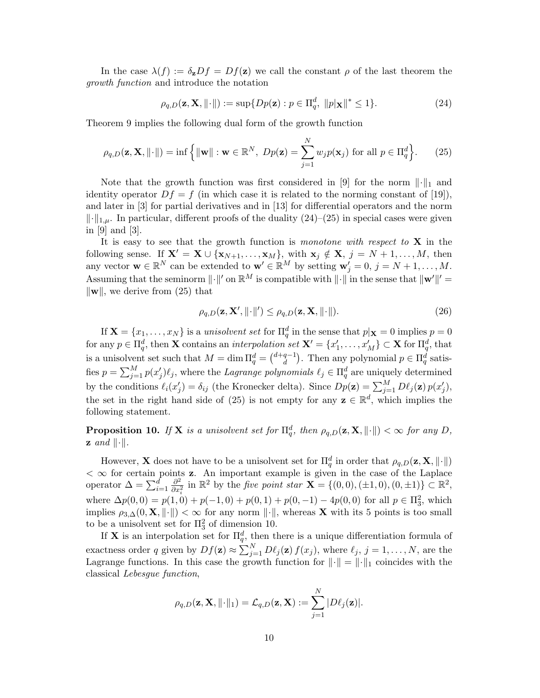In the case  $\lambda(f) := \delta_{\mathbf{z}} Df = Df(\mathbf{z})$  we call the constant  $\rho$  of the last theorem the growth function and introduce the notation

$$
\rho_{q,D}(\mathbf{z}, \mathbf{X}, \| \cdot \|) := \sup \{ Dp(\mathbf{z}) : p \in \Pi_q^d, \|p|\mathbf{x}\|^* \le 1 \}.
$$
 (24)

Theorem 9 implies the following dual form of the growth function

$$
\rho_{q,D}(\mathbf{z}, \mathbf{X}, \| \cdot \|) = \inf \left\{ \| \mathbf{w} \| : \mathbf{w} \in \mathbb{R}^N, \ Dp(\mathbf{z}) = \sum_{j=1}^N w_j p(\mathbf{x}_j) \text{ for all } p \in \Pi_q^d \right\}.
$$
 (25)

Note that the growth function was first considered in [9] for the norm  $\lVert \cdot \rVert_1$  and identity operator  $Df = f$  (in which case it is related to the norming constant of [19]), and later in [3] for partial derivatives and in [13] for differential operators and the norm  $\|\cdot\|_{1,\mu}$ . In particular, different proofs of the duality (24)–(25) in special cases were given in [9] and [3].

It is easy to see that the growth function is monotone with respect to  $X$  in the following sense. If  $X' = X \cup \{x_{N+1}, \ldots, x_M\}$ , with  $x_j \notin X$ ,  $j = N+1, \ldots, M$ , then any vector  $\mathbf{w} \in \mathbb{R}^N$  can be extended to  $\mathbf{w}' \in \mathbb{R}^M$  by setting  $\mathbf{w}'_j = 0, j = N + 1, \ldots, M$ . Assuming that the seminorm  $\|\cdot\|'$  on  $\mathbb{R}^M$  is compatible with  $\|\cdot\|$  in the sense that  $\|\mathbf{w}'\|' =$  $\|\mathbf{w}\|$ , we derive from (25) that

$$
\rho_{q,D}(\mathbf{z}, \mathbf{X}', ||\cdot||') \le \rho_{q,D}(\mathbf{z}, \mathbf{X}, ||\cdot||). \tag{26}
$$

If  $\mathbf{X} = \{x_1, \dots, x_N\}$  is a unisolvent set for  $\prod_q^d$  in the sense that  $p | \mathbf{x} = 0$  implies  $p = 0$  $\text{for any }p\in\Pi_q^d\text{, then }\mathbf{X}\text{ contains an *interpolation set* }\mathbf{X'}=\{x'_1,\ldots,x'_M\}\subset\mathbf{X}\text{ for }\Pi_q^d\text{, that}$ is a unisolvent set such that  $M = \dim \Pi_q^d = \binom{d+q-1}{d}$  $\binom{q-1}{d}$ . Then any polynomial  $p \in \Pi_q^d$  satisfies  $p = \sum_{j=1}^{M} p(x'_j) \ell_j$ , where the *Lagrange polynomials*  $\ell_j \in \Pi_q^d$  are uniquely determined by the conditions  $\ell_i(x'_j) = \delta_{ij}$  (the Kronecker delta). Since  $Dp(\mathbf{z}) = \sum_{j=1}^M D\ell_j(\mathbf{z}) p(x'_j)$ , the set in the right hand side of (25) is not empty for any  $z \in \mathbb{R}^d$ , which implies the following statement.

**Proposition 10.** If **X** is a unisolvent set for  $\Pi_q^d$ , then  $\rho_{q,D}(\mathbf{z}, \mathbf{X}, \|\cdot\|) < \infty$  for any D,  $\mathbf{z}$  and  $\|\cdot\|.$ 

However, **X** does not have to be a unisolvent set for  $\Pi_q^d$  in order that  $\rho_{q,D}(\mathbf{z}, \mathbf{X}, \|\cdot\|)$  $<$   $\infty$  for certain points **z**. An important example is given in the case of the Laplace operator  $\Delta = \sum_{i=1}^{\hat{d}} \frac{\partial^2}{\partial x_i^2}$  $\frac{\partial^2}{\partial x_i^2}$  in  $\mathbb{R}^2$  by the *five point star* **X** = {(0, 0), (±1, 0), (0, ±1)} ⊂  $\mathbb{R}^2$ , where  $\Delta p(0,0) = p(1,0) + p(-1,0) + p(0,1) + p(0,-1) - 4p(0,0)$  for all  $p \in \Pi_3^2$ , which implies  $\rho_{3,\Delta}(0,\mathbf{X},\|\cdot\|)<\infty$  for any norm  $\|\cdot\|$ , whereas **X** with its 5 points is too small to be a unisolvent set for  $\Pi_3^2$  of dimension 10.

If **X** is an interpolation set for  $\Pi_q^d$ , then there is a unique differentiation formula of exactness order q given by  $Df(\mathbf{z}) \approx \sum_{j=1}^{N} D\ell_j(\mathbf{z}) f(x_j)$ , where  $\ell_j, j = 1, \ldots, N$ , are the Lagrange functions. In this case the growth function for  $\|\cdot\| = \|\cdot\|_1$  coincides with the classical Lebesgue function,

$$
\rho_{q,D}(\mathbf{z}, \mathbf{X}, \|\cdot\|_1) = \mathcal{L}_{q,D}(\mathbf{z}, \mathbf{X}) := \sum_{j=1}^N |D\ell_j(\mathbf{z})|.
$$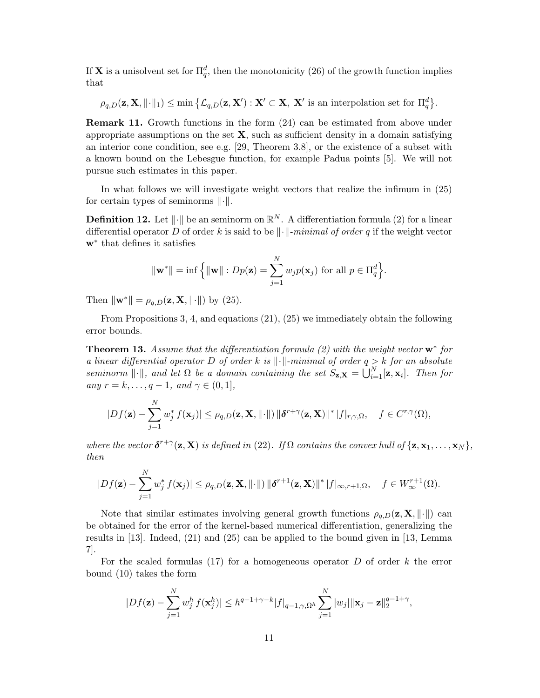If **X** is a unisolvent set for  $\Pi_q^d$ , then the monotonicity (26) of the growth function implies that

 $\rho_{q,D}(\mathbf{z}, \mathbf{X}, \|\cdot\|_1) \le \min \left\{ \mathcal{L}_{q,D}(\mathbf{z}, \mathbf{X}') : \mathbf{X}' \subset \mathbf{X}, \ \mathbf{X}' \text{ is an interpolation set for } \Pi_q^d \right\}.$ 

Remark 11. Growth functions in the form (24) can be estimated from above under appropriate assumptions on the set  $X$ , such as sufficient density in a domain satisfying an interior cone condition, see e.g. [29, Theorem 3.8], or the existence of a subset with a known bound on the Lebesgue function, for example Padua points [5]. We will not pursue such estimates in this paper.

In what follows we will investigate weight vectors that realize the infimum in (25) for certain types of seminorms  $\lVert \cdot \rVert$ .

**Definition 12.** Let  $\|\cdot\|$  be an seminorm on  $\mathbb{R}^N$ . A differentiation formula (2) for a linear differential operator D of order k is said to be  $\|\cdot\|$ -minimal of order q if the weight vector w<sup>∗</sup> that defines it satisfies

$$
\|\mathbf{w}^*\| = \inf \left\{ \|\mathbf{w}\| : Dp(\mathbf{z}) = \sum_{j=1}^N w_j p(\mathbf{x}_j) \text{ for all } p \in \Pi_q^d \right\}.
$$

Then  $\|\mathbf{w}^*\| = \rho_{q,D}(\mathbf{z}, \mathbf{X}, \|\cdot\|)$  by (25).

From Propositions 3, 4, and equations (21), (25) we immediately obtain the following error bounds.

**Theorem 13.** Assume that the differentiation formula  $(2)$  with the weight vector  $\mathbf{w}^*$  for a linear differential operator D of order k is  $\|\cdot\|$ -minimal of order  $q > k$  for an absolute seminorm  $\|\cdot\|$ , and let  $\Omega$  be a domain containing the set  $S_{\mathbf{z},\mathbf{X}} = \bigcup_{i=1}^N [\mathbf{z}, \mathbf{x}_i]$ . Then for any  $r = k, \ldots, q - 1$ , and  $\gamma \in (0, 1]$ ,

$$
|Df(\mathbf{z}) - \sum_{j=1}^N w_j^* f(\mathbf{x}_j)| \leq \rho_{q,D}(\mathbf{z}, \mathbf{X}, ||\cdot||) ||\boldsymbol{\delta}^{r+\gamma}(\mathbf{z}, \mathbf{X})||^* |f|_{r,\gamma,\Omega}, \quad f \in C^{r,\gamma}(\Omega),
$$

where the vector  $\delta^{r+\gamma}(\mathbf{z}, \mathbf{X})$  is defined in (22). If  $\Omega$  contains the convex hull of  $\{\mathbf{z}, \mathbf{x}_1, \dots, \mathbf{x}_N\}$ , then

$$
|Df(\mathbf{z})-\sum_{j=1}^N w_j^* f(\mathbf{x}_j)|\leq \rho_{q,D}(\mathbf{z}, \mathbf{X}, \|\cdot\|) \|\boldsymbol{\delta}^{r+1}(\mathbf{z}, \mathbf{X})\|^* |f|_{\infty, r+1, \Omega}, \quad f\in W^{r+1}_{\infty}(\Omega).
$$

Note that similar estimates involving general growth functions  $\rho_{q,D}(\mathbf{z}, \mathbf{X}, \|\cdot\|)$  can be obtained for the error of the kernel-based numerical differentiation, generalizing the results in [13]. Indeed, (21) and (25) can be applied to the bound given in [13, Lemma 7].

For the scaled formulas (17) for a homogeneous operator  $D$  of order  $k$  the error bound (10) takes the form

$$
|Df(\mathbf{z}) - \sum_{j=1}^N w_j^h f(\mathbf{x}_j^h)| \le h^{q-1+\gamma-k} |f|_{q-1,\gamma,\Omega^h} \sum_{j=1}^N |w_j| \|\mathbf{x}_j - \mathbf{z}\|_2^{q-1+\gamma},
$$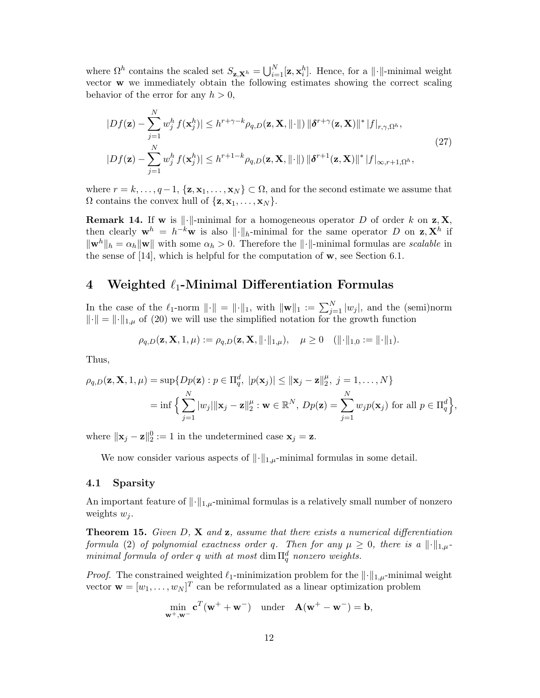where  $\Omega^h$  contains the scaled set  $S_{\mathbf{z},\mathbf{X}^h} = \bigcup_{i=1}^N [\mathbf{z}, \mathbf{x}_i^h]$ . Hence, for a  $\|\cdot\|$ -minimal weight vector w we immediately obtain the following estimates showing the correct scaling behavior of the error for any  $h > 0$ ,

$$
|Df(\mathbf{z}) - \sum_{j=1}^{N} w_j^h f(\mathbf{x}_j^h)| \le h^{r+\gamma-k} \rho_{q,D}(\mathbf{z}, \mathbf{X}, ||\cdot||) ||\boldsymbol{\delta}^{r+\gamma}(\mathbf{z}, \mathbf{X})||^* |f|_{r,\gamma,\Omega^h},
$$
  
\n
$$
|Df(\mathbf{z}) - \sum_{j=1}^{N} w_j^h f(\mathbf{x}_j^h)| \le h^{r+1-k} \rho_{q,D}(\mathbf{z}, \mathbf{X}, ||\cdot||) ||\boldsymbol{\delta}^{r+1}(\mathbf{z}, \mathbf{X})||^* |f|_{\infty, r+1, \Omega^h},
$$
\n(27)

where  $r = k, \ldots, q-1$ ,  $\{z, x_1, \ldots, x_N\} \subset \Omega$ , and for the second estimate we assume that  $\Omega$  contains the convex hull of  $\{z, x_1, \ldots, x_N\}$ .

**Remark 14.** If **w** is  $\|\cdot\|$ -minimal for a homogeneous operator D of order k on **z**, **X**, then clearly  $\mathbf{w}^h = h^{-k}\mathbf{w}$  is also  $\|\cdot\|_h$ -minimal for the same operator D on  $\mathbf{z}, \mathbf{X}^h$  if  $\|\mathbf{w}^h\|_h = \alpha_h \|\mathbf{w}\|$  with some  $\alpha_h > 0$ . Therefore the  $\|\cdot\|$ -minimal formulas are scalable in the sense of  $[14]$ , which is helpful for the computation of  $w$ , see Section 6.1.

# 4 Weighted  $\ell_1$ -Minimal Differentiation Formulas

In the case of the  $\ell_1$ -norm  $\|\cdot\| = \|\cdot\|_1$ , with  $\|\mathbf{w}\|_1 := \sum_{j=1}^N |w_j|$ , and the (semi)norm  $\|\cdot\| = \|\cdot\|_{1,\mu}$  of (20) we will use the simplified notation for the growth function

$$
\rho_{q,D}(\mathbf{z}, \mathbf{X}, 1, \mu) := \rho_{q,D}(\mathbf{z}, \mathbf{X}, \|\cdot\|_{1,\mu}), \quad \mu \ge 0 \quad (\|\cdot\|_{1,0} := \|\cdot\|_1).
$$

Thus,

$$
\rho_{q,D}(\mathbf{z}, \mathbf{X}, 1, \mu) = \sup \{ Dp(\mathbf{z}) : p \in \Pi_q^d, \ |p(\mathbf{x}_j)| \le ||\mathbf{x}_j - \mathbf{z}||_2^{\mu}, \ j = 1, \dots, N \}
$$
  
= 
$$
\inf \Big\{ \sum_{j=1}^N |w_j| ||\mathbf{x}_j - \mathbf{z}||_2^{\mu} : \mathbf{w} \in \mathbb{R}^N, \ Dp(\mathbf{z}) = \sum_{j=1}^N w_j p(\mathbf{x}_j) \text{ for all } p \in \Pi_q^d \Big\},
$$

where  $\|\mathbf{x}_j - \mathbf{z}\|_2^0 := 1$  in the undetermined case  $\mathbf{x}_j = \mathbf{z}$ .

We now consider various aspects of  $\lVert \cdot \rVert_{1,\mu}$ -minimal formulas in some detail.

### 4.1 Sparsity

An important feature of  $\lVert \cdot \rVert_{1,\mu}$ -minimal formulas is a relatively small number of nonzero weights  $w_i$ .

**Theorem 15.** Given  $D$ ,  $X$  and  $z$ , assume that there exists a numerical differentiation formula (2) of polynomial exactness order q. Then for any  $\mu \geq 0$ , there is a  $\lVert \cdot \rVert_{1,\mu}$ minimal formula of order q with at most  $\dim \Pi_q^d$  nonzero weights.

*Proof.* The constrained weighted  $\ell_1$ -minimization problem for the  $\lVert \cdot \rVert_{1,\mu}$ -minimal weight vector  $\mathbf{w} = [w_1, \dots, w_N]^T$  can be reformulated as a linear optimization problem

$$
\min_{\mathbf{w}^+,\mathbf{w}^-} \mathbf{c}^T(\mathbf{w}^+ + \mathbf{w}^-) \quad \text{under} \quad \mathbf{A}(\mathbf{w}^+ - \mathbf{w}^-) = \mathbf{b},
$$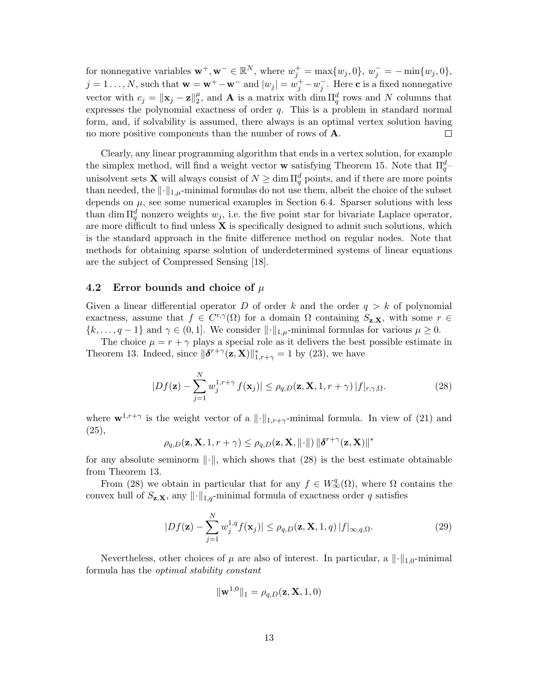for nonnegative variables  $\mathbf{w}^+,\mathbf{w}^- \in \mathbb{R}^N$ , where  $w_j^+ = \max\{w_j, 0\}$ ,  $w_j^- = -\min\{w_j, 0\}$ ,  $j = 1 \ldots, N$ , such that  $\mathbf{w} = \mathbf{w}^+ - \mathbf{w}^-$  and  $|w_j| = w_j^+ - w_j^-$ . Here c is a fixed nonnegative vector with  $c_j = ||\mathbf{x}_j - \mathbf{z}||_2^{\mu}$  $_{2}^{\mu}$ , and **A** is a matrix with dim  $\Pi_{q}^{d}$  rows and N columns that expresses the polynomial exactness of order  $q$ . This is a problem in standard normal form, and, if solvability is assumed, there always is an optimal vertex solution having no more positive components than the number of rows of **A**.  $\Box$ 

Clearly, any linear programming algorithm that ends in a vertex solution, for example the simplex method, will find a weight vector **w** satisfying Theorem 15. Note that  $\Pi_q^d$ unisolvent sets **X** will always consist of  $N \geq \dim \Pi_q^d$  points, and if there are more points than needed, the  $\|\cdot\|_{1,\mu}$ -minimal formulas do not use them, albeit the choice of the subset depends on  $\mu$ , see some numerical examples in Section 6.4. Sparser solutions with less than dim  $\Pi_q^d$  nonzero weights  $w_j$ , i.e. the five point star for bivariate Laplace operator, are more difficult to find unless  $X$  is specifically designed to admit such solutions, which is the standard approach in the finite difference method on regular nodes. Note that methods for obtaining sparse solution of underdetermined systems of linear equations are the subject of Compressed Sensing [18].

### 4.2 Error bounds and choice of  $\mu$

Given a linear differential operator D of order k and the order  $q > k$  of polynomial exactness, assume that  $f \in C^{r,\gamma}(\Omega)$  for a domain  $\Omega$  containing  $S_{\mathbf{z},\mathbf{X}}$ , with some  $r \in$  $\{k, \ldots, q-1\}$  and  $\gamma \in (0,1]$ . We consider  $\lVert \cdot \rVert_{1,\mu}$ -minimal formulas for various  $\mu \geq 0$ .

The choice  $\mu = r + \gamma$  plays a special role as it delivers the best possible estimate in Theorem 13. Indeed, since  $\|\boldsymbol{\delta}^{r+\gamma}(\mathbf{z}, \mathbf{X})\|_{1, r+\gamma}^{*} = 1$  by (23), we have

$$
|Df(\mathbf{z}) - \sum_{j=1}^{N} w_j^{1,r+\gamma} f(\mathbf{x}_j)| \le \rho_{q,D}(\mathbf{z}, \mathbf{X}, 1, r + \gamma) |f|_{r,\gamma,\Omega}.
$$
 (28)

where  $\mathbf{w}^{1,r+\gamma}$  is the weight vector of a  $\|\cdot\|_{1,r+\gamma}$ -minimal formula. In view of (21) and (25),

$$
\rho_{q,D}(\mathbf{z}, \mathbf{X}, 1, r + \gamma) \leq \rho_{q,D}(\mathbf{z}, \mathbf{X}, \|\cdot\|) \|\boldsymbol{\delta}^{r + \gamma}(\mathbf{z}, \mathbf{X})\|^*
$$

for any absolute seminorm  $\|\cdot\|$ , which shows that (28) is the best estimate obtainable from Theorem 13.

From (28) we obtain in particular that for any  $f \in W^q_{\infty}(\Omega)$ , where  $\Omega$  contains the convex hull of  $S_{\mathbf{z},\mathbf{X}}$ , any  $\|\cdot\|_{1,q}$ -minimal formula of exactness order q satisfies

$$
|Df(\mathbf{z}) - \sum_{j=1}^{N} w_j^{1,q} f(\mathbf{x}_j)| \le \rho_{q,D}(\mathbf{z}, \mathbf{X}, 1, q) |f|_{\infty, q, \Omega}.
$$
 (29)

Nevertheless, other choices of  $\mu$  are also of interest. In particular, a  $\|\cdot\|_{1,0}$ -minimal formula has the optimal stability constant

$$
\|\mathbf{w}^{1,0}\|_1 = \rho_{q,D}(\mathbf{z}, \mathbf{X}, 1, 0)
$$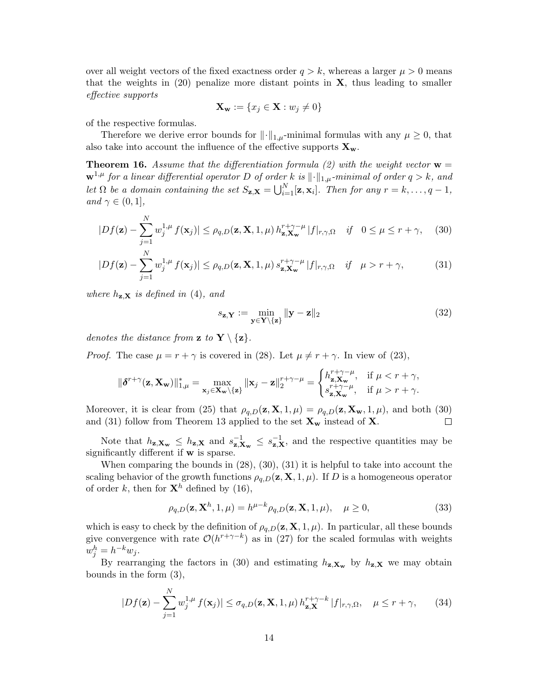over all weight vectors of the fixed exactness order  $q > k$ , whereas a larger  $\mu > 0$  means that the weights in  $(20)$  penalize more distant points in  $X$ , thus leading to smaller effective supports

$$
\mathbf{X}_{\mathbf{w}} := \{ x_j \in \mathbf{X} : w_j \neq 0 \}
$$

of the respective formulas.

Therefore we derive error bounds for  $\|\cdot\|_{1,\mu}$ -minimal formulas with any  $\mu \geq 0$ , that also take into account the influence of the effective supports  $\mathbf{X}_{\mathbf{w}}$ .

**Theorem 16.** Assume that the differentiation formula (2) with the weight vector  $\mathbf{w} =$  $\mathbf{w}^{1,\mu}$  for a linear differential operator D of order k is  $\lVert \cdot \rVert_{1,\mu}$ -minimal of order  $q > k$ , and let  $\Omega$  be a domain containing the set  $S_{\mathbf{z},\mathbf{X}} = \bigcup_{i=1}^N [\mathbf{z}, \mathbf{x}_i]$ . Then for any  $r = k, \ldots, q - 1$ , and  $\gamma \in (0,1],$ 

$$
|Df(\mathbf{z}) - \sum_{j=1}^{N} w_j^{1,\mu} f(\mathbf{x}_j)| \le \rho_{q,D}(\mathbf{z}, \mathbf{X}, 1, \mu) h_{\mathbf{z}, \mathbf{X}_{\mathbf{w}}}^{r+\gamma-\mu} |f|_{r,\gamma,\Omega} \quad \text{if} \quad 0 \le \mu \le r+\gamma,
$$
 (30)

$$
|Df(\mathbf{z}) - \sum_{j=1}^{N} w_j^{1,\mu} f(\mathbf{x}_j)| \le \rho_{q,D}(\mathbf{z}, \mathbf{X}, 1, \mu) s_{\mathbf{z}, \mathbf{X}_{\mathbf{w}}}^{r+\gamma-\mu} |f|_{r,\gamma,\Omega} \quad \text{if} \quad \mu > r + \gamma,
$$
 (31)

where  $h_{\mathbf{z},\mathbf{X}}$  is defined in (4), and

$$
s_{\mathbf{z},\mathbf{Y}} := \min_{\mathbf{y} \in \mathbf{Y} \setminus \{\mathbf{z}\}} \|\mathbf{y} - \mathbf{z}\|_2 \tag{32}
$$

denotes the distance from  $\mathbf{z}$  to  $\mathbf{Y} \setminus \{\mathbf{z}\}.$ 

*Proof.* The case  $\mu = r + \gamma$  is covered in (28). Let  $\mu \neq r + \gamma$ . In view of (23),

$$
\|\boldsymbol{\delta}^{r+\gamma}(\mathbf{z}, \mathbf{X}_{\mathbf{w}})\|_{1,\mu}^{*} = \max_{\mathbf{x}_{j} \in \mathbf{X}_{\mathbf{w}} \setminus \{\mathbf{z}\}} \|\mathbf{x}_{j} - \mathbf{z}\|_{2}^{r+\gamma-\mu} = \begin{cases} h_{\mathbf{z}, \mathbf{X}_{\mathbf{w}}}^{r+\gamma-\mu}, & \text{if } \mu < r+\gamma, \\ s_{\mathbf{z}, \mathbf{X}_{\mathbf{w}}}^{r+\gamma-\mu}, & \text{if } \mu > r+\gamma. \end{cases}
$$

Moreover, it is clear from (25) that  $\rho_{q,D}(z, X, 1, \mu) = \rho_{q,D}(z, X_w, 1, \mu)$ , and both (30) and (31) follow from Theorem 13 applied to the set  $X_w$  instead of X.  $\Box$ 

Note that  $h_{\mathbf{z},\mathbf{X}_{\mathbf{w}}} \leq h_{\mathbf{z},\mathbf{X}}$  and  $s_{\mathbf{z},\mathbf{Y}}^{-1}$  $\mathbf{z}_{\mathbf{z},\mathbf{X}\mathbf{w}}^{-1} \leq s_{\mathbf{z},\mathbf{X}}^{-1}$ , and the respective quantities may be significantly different if w is sparse.

When comparing the bounds in (28), (30), (31) it is helpful to take into account the scaling behavior of the growth functions  $\rho_{a,D}(\mathbf{z}, \mathbf{X}, 1, \mu)$ . If D is a homogeneous operator of order k, then for  $\mathbf{X}^h$  defined by (16),

$$
\rho_{q,D}(\mathbf{z}, \mathbf{X}^h, 1, \mu) = h^{\mu - k} \rho_{q,D}(\mathbf{z}, \mathbf{X}, 1, \mu), \quad \mu \ge 0,
$$
\n(33)

which is easy to check by the definition of  $\rho_{q,D}(z, X, 1, \mu)$ . In particular, all these bounds give convergence with rate  $\mathcal{O}(h^{r+\gamma-k})$  as in (27) for the scaled formulas with weights  $w_j^h = h^{-k} w_j.$ 

By rearranging the factors in (30) and estimating  $h_{\mathbf{z},\mathbf{X}_{w}}$  by  $h_{\mathbf{z},\mathbf{X}}$  we may obtain bounds in the form (3),

$$
|Df(\mathbf{z}) - \sum_{j=1}^{N} w_j^{1,\mu} f(\mathbf{x}_j)| \le \sigma_{q,D}(\mathbf{z}, \mathbf{X}, 1, \mu) h_{\mathbf{z}, \mathbf{X}}^{r+\gamma-k} |f|_{r,\gamma,\Omega}, \quad \mu \le r+\gamma,
$$
 (34)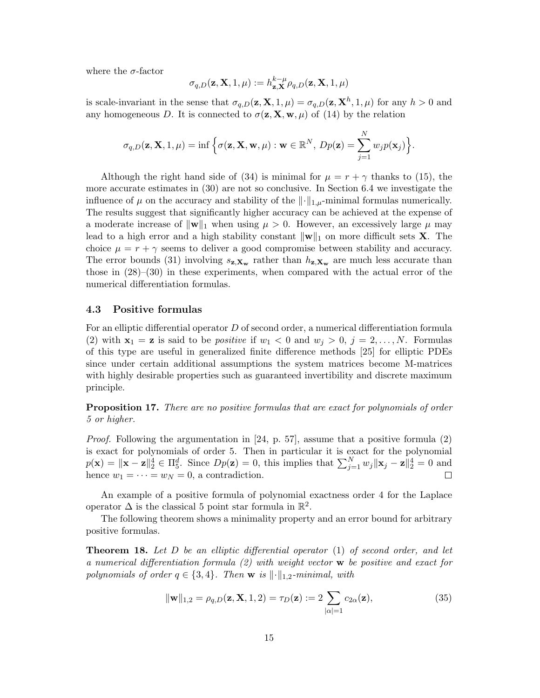where the  $\sigma$ -factor

$$
\sigma_{q,D}(\mathbf{z}, \mathbf{X}, 1, \mu) := h_{\mathbf{z}, \mathbf{X}}^{k-\mu} \rho_{q,D}(\mathbf{z}, \mathbf{X}, 1, \mu)
$$

is scale-invariant in the sense that  $\sigma_{q,D}(z, X, 1, \mu) = \sigma_{q,D}(z, X^h, 1, \mu)$  for any  $h > 0$  and any homogeneous D. It is connected to  $\sigma(\mathbf{z}, \mathbf{X}, \mathbf{w}, \mu)$  of (14) by the relation

$$
\sigma_{q,D}(\mathbf{z}, \mathbf{X}, 1, \mu) = \inf \Big\{ \sigma(\mathbf{z}, \mathbf{X}, \mathbf{w}, \mu) : \mathbf{w} \in \mathbb{R}^N, \, Dp(\mathbf{z}) = \sum_{j=1}^N w_j p(\mathbf{x}_j) \Big\}.
$$

Although the right hand side of (34) is minimal for  $\mu = r + \gamma$  thanks to (15), the more accurate estimates in (30) are not so conclusive. In Section 6.4 we investigate the influence of  $\mu$  on the accuracy and stability of the  $\|\cdot\|_{1,\mu}$ -minimal formulas numerically. The results suggest that significantly higher accuracy can be achieved at the expense of a moderate increase of  $\Vert \mathbf{w} \Vert_1$  when using  $\mu > 0$ . However, an excessively large  $\mu$  may lead to a high error and a high stability constant  $\|\mathbf{w}\|_1$  on more difficult sets **X**. The choice  $\mu = r + \gamma$  seems to deliver a good compromise between stability and accuracy. The error bounds (31) involving  $s_{\mathbf{z},\mathbf{X_w}}$  rather than  $h_{\mathbf{z},\mathbf{X_w}}$  are much less accurate than those in  $(28)–(30)$  in these experiments, when compared with the actual error of the numerical differentiation formulas.

### 4.3 Positive formulas

For an elliptic differential operator  $D$  of second order, a numerical differentiation formula (2) with  $\mathbf{x}_1 = \mathbf{z}$  is said to be *positive* if  $w_1 < 0$  and  $w_j > 0$ ,  $j = 2, \ldots, N$ . Formulas of this type are useful in generalized finite difference methods [25] for elliptic PDEs since under certain additional assumptions the system matrices become M-matrices with highly desirable properties such as guaranteed invertibility and discrete maximum principle.

Proposition 17. There are no positive formulas that are exact for polynomials of order 5 or higher.

Proof. Following the argumentation in [24, p. 57], assume that a positive formula (2) is exact for polynomials of order 5. Then in particular it is exact for the polynomial  $p(\mathbf{x}) = \|\mathbf{x} - \mathbf{z}\|_2^4 \in \Pi_5^d$ . Since  $Dp(\mathbf{z}) = 0$ , this implies that  $\sum_{j=1}^N w_j \|\mathbf{x}_j - \mathbf{z}\|_2^4 = 0$  and hence  $w_1 = \cdots = w_N = 0$ , a contradiction. П

An example of a positive formula of polynomial exactness order 4 for the Laplace operator  $\Delta$  is the classical 5 point star formula in  $\mathbb{R}^2$ .

The following theorem shows a minimality property and an error bound for arbitrary positive formulas.

**Theorem 18.** Let D be an elliptic differential operator  $(1)$  of second order, and let a numerical differentiation formula (2) with weight vector w be positive and exact for polynomials of order  $q \in \{3, 4\}$ . Then w is  $\|\cdot\|_{1,2}$ -minimal, with

$$
\|\mathbf{w}\|_{1,2} = \rho_{q,D}(\mathbf{z}, \mathbf{X}, 1, 2) = \tau_D(\mathbf{z}) := 2 \sum_{|\alpha|=1} c_{2\alpha}(\mathbf{z}),
$$
\n(35)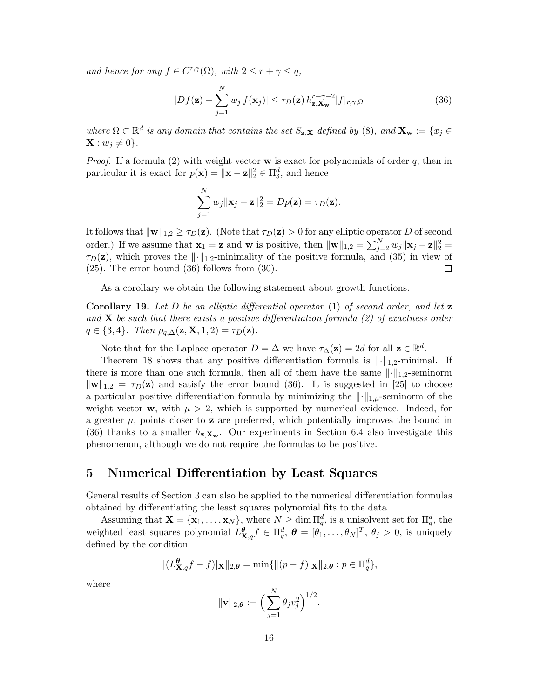and hence for any  $f \in C^{r,\gamma}(\Omega)$ , with  $2 \leq r + \gamma \leq q$ ,

$$
|Df(\mathbf{z}) - \sum_{j=1}^{N} w_j f(\mathbf{x}_j)| \le \tau_D(\mathbf{z}) h_{\mathbf{z}, \mathbf{X}_{\mathbf{w}}}^{r+\gamma-2} |f|_{r,\gamma,\Omega}
$$
(36)

where  $\Omega \subset \mathbb{R}^d$  is any domain that contains the set  $S_{\mathbf{z},\mathbf{X}}$  defined by (8), and  $\mathbf{X}_{\mathbf{w}} := \{x_j \in S_{\mathbf{w}}\}$  $\mathbf{X}: w_j \neq 0$ .

*Proof.* If a formula (2) with weight vector **w** is exact for polynomials of order  $q$ , then in particular it is exact for  $p(\mathbf{x}) = \|\mathbf{x} - \mathbf{z}\|_2^2 \in \Pi_3^d$ , and hence

$$
\sum_{j=1}^N w_j \|\mathbf{x}_j - \mathbf{z}\|_2^2 = Dp(\mathbf{z}) = \tau_D(\mathbf{z}).
$$

It follows that  $\|\mathbf{w}\|_{1,2} \geq \tau_D(\mathbf{z})$ . (Note that  $\tau_D(\mathbf{z}) > 0$  for any elliptic operator D of second order.) If we assume that  $\mathbf{x}_1 = \mathbf{z}$  and w is positive, then  $\|\mathbf{w}\|_{1,2} = \sum_{j=2}^{N} w_j \|\mathbf{x}_j - \mathbf{z}\|_2^2 =$  $\tau_D(z)$ , which proves the  $\lVert \cdot \rVert_{1,2}$ -minimality of the positive formula, and (35) in view of (25). The error bound (36) follows from (30).  $\mathbf{L}$ 

As a corollary we obtain the following statement about growth functions.

**Corollary 19.** Let D be an elliptic differential operator  $(1)$  of second order, and let **z** and **X** be such that there exists a positive differentiation formula (2) of exactness order  $q \in \{3, 4\}$ . Then  $\rho_{q,\Delta}(\mathbf{z}, \mathbf{X}, 1, 2) = \tau_D(\mathbf{z})$ .

Note that for the Laplace operator  $D = \Delta$  we have  $\tau_{\Delta}(\mathbf{z}) = 2d$  for all  $\mathbf{z} \in \mathbb{R}^d$ .

Theorem 18 shows that any positive differentiation formula is  $\|\cdot\|_{1,2}$ -minimal. If there is more than one such formula, then all of them have the same  $\lVert \cdot \rVert_{1,2}$ -seminorm  $\|\mathbf{w}\|_{1,2} = \tau_D(\mathbf{z})$  and satisfy the error bound (36). It is suggested in [25] to choose a particular positive differentiation formula by minimizing the  $\|\cdot\|_{1,\mu}$ -seminorm of the weight vector **w**, with  $\mu > 2$ , which is supported by numerical evidence. Indeed, for a greater  $\mu$ , points closer to **z** are preferred, which potentially improves the bound in (36) thanks to a smaller  $h_{\mathbf{z},\mathbf{X}_{\mathbf{w}}}$ . Our experiments in Section 6.4 also investigate this phenomenon, although we do not require the formulas to be positive.

### 5 Numerical Differentiation by Least Squares

General results of Section 3 can also be applied to the numerical differentiation formulas obtained by differentiating the least squares polynomial fits to the data.

Assuming that  $\mathbf{X} = {\mathbf{x}_1, ..., \mathbf{x}_N}$ , where  $N \ge \dim \Pi_q^d$ , is a unisolvent set for  $\Pi_q^d$ , the weighted least squares polynomial  $L_{\mathbf{X},q}^{\theta} f \in \Pi_q^d$ ,  $\theta = [\theta_1, \dots, \theta_N]^T$ ,  $\theta_j > 0$ , is uniquely defined by the condition

$$
\|(L_{\mathbf{X},q}^{\theta}f-f)|_{\mathbf{X}}\|_{2,\theta}=\min\{\|(p-f)|_{\mathbf{X}}\|_{2,\theta}:p\in\Pi_q^d\},\
$$

where

$$
\|\mathbf{v}\|_{2,\boldsymbol{\theta}}:=\Big(\sum_{j=1}^N\theta_jv_j^2\Big)^{1/2}.
$$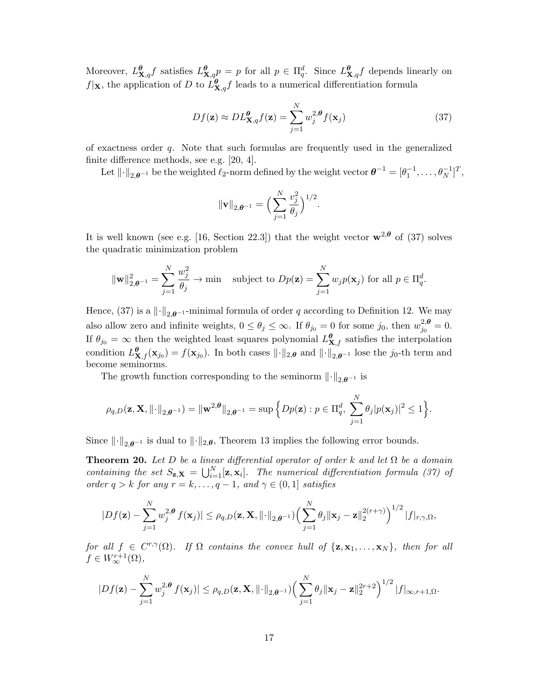Moreover,  $L_{\mathbf{X},q}^{\theta} f$  satisfies  $L_{\mathbf{X},q}^{\theta} p = p$  for all  $p \in \Pi_q^d$ . Since  $L_{\mathbf{X},q}^{\theta} f$  depends linearly on  $f|\mathbf{x}$ , the application of D to  $L^{\theta}_{\mathbf{X},q}f$  leads to a numerical differentiation formula

$$
Df(\mathbf{z}) \approx DL_{\mathbf{X},q}^{\theta} f(\mathbf{z}) = \sum_{j=1}^{N} w_j^{2,\theta} f(\mathbf{x}_j)
$$
(37)

of exactness order  $q$ . Note that such formulas are frequently used in the generalized finite difference methods, see e.g. [20, 4].

Let  $\|\cdot\|_{2,\theta^{-1}}$  be the weighted  $\ell_2$ -norm defined by the weight vector  $\theta^{-1} = [\theta_1^{-1}, \ldots, \theta_N^{-1}]^T$ ,

$$
\|\mathbf{v}\|_{2,\theta^{-1}}=\Big(\sum_{j=1}^N \frac{v_j^2}{\theta_j}\Big)^{1/2}.
$$

It is well known (see e.g. [16, Section 22.3]) that the weight vector  $\mathbf{w}^{2,\theta}$  of (37) solves the quadratic minimization problem

$$
\|\mathbf{w}\|_{2,\theta^{-1}}^2 = \sum_{j=1}^N \frac{w_j^2}{\theta_j} \to \min \quad \text{subject to } Dp(\mathbf{z}) = \sum_{j=1}^N w_j p(\mathbf{x}_j) \text{ for all } p \in \Pi_q^d.
$$

Hence, (37) is a  $\lVert \cdot \rVert_{2,\theta^{-1}}$ -minimal formula of order q according to Definition 12. We may also allow zero and infinite weights,  $0 \le \theta_j \le \infty$ . If  $\theta_{j_0} = 0$  for some  $j_0$ , then  $w_{j_0}^{2,\theta}$  $j_0^{\lambda,\theta}=0.$ If  $\theta_{j_0} = \infty$  then the weighted least squares polynomial  $L^{\theta}_{X,f}$  satisfies the interpolation condition  $L_{\mathbf{X},f}^{\theta}(\mathbf{x}_{j_0}) = f(\mathbf{x}_{j_0})$ . In both cases  $\lVert \cdot \rVert_{2,\theta}$  and  $\lVert \cdot \rVert_{2,\theta^{-1}}$  lose the  $j_0$ -th term and become seminorms.

The growth function corresponding to the seminorm  $\lVert \cdot \rVert_{2,\theta^{-1}}$  is

$$
\rho_{q,D}(\mathbf{z}, \mathbf{X}, \|\cdot\|_{2,\boldsymbol{\theta}^{-1}}) = \|\mathbf{w}^{2,\boldsymbol{\theta}}\|_{2,\boldsymbol{\theta}^{-1}} = \sup \Big\{ Dp(\mathbf{z}) : p \in \Pi_q^d, \sum_{j=1}^N \theta_j |p(\mathbf{x}_j)|^2 \leq 1 \Big\}.
$$

Since  $\|\cdot\|_{2,\theta^{-1}}$  is dual to  $\|\cdot\|_{2,\theta}$ , Theorem 13 implies the following error bounds.

**Theorem 20.** Let D be a linear differential operator of order k and let  $\Omega$  be a domain containing the set  $S_{\mathbf{z},\mathbf{X}} = \bigcup_{i=1}^{N} [\mathbf{z}, \mathbf{x}_i]$ . The numerical differentiation formula (37) of order  $q > k$  for any  $r = k, \ldots, q - 1$ , and  $\gamma \in (0, 1]$  satisfies

$$
|Df(\mathbf{z}) - \sum_{j=1}^N w_j^{2,\boldsymbol{\theta}} f(\mathbf{x}_j)| \leq \rho_{q,D}(\mathbf{z}, \mathbf{X}, \|\cdot\|_{2,\boldsymbol{\theta}^{-1}}) \Big(\sum_{j=1}^N \theta_j \|\mathbf{x}_j - \mathbf{z}\|_2^{2(r+\gamma)}\Big)^{1/2} |f|_{r,\gamma,\Omega},
$$

for all  $f \in C^{r,\gamma}(\Omega)$ . If  $\Omega$  contains the convex hull of  $\{z, x_1, \ldots, x_N\}$ , then for all  $f \in W^{r+1}_{\infty}(\Omega),$ 

$$
|Df(\mathbf{z}) - \sum_{j=1}^N w_j^{2,\boldsymbol{\theta}} f(\mathbf{x}_j)| \leq \rho_{q,D}(\mathbf{z}, \mathbf{X}, \|\cdot\|_{2,\boldsymbol{\theta}^{-1}}) \Big(\sum_{j=1}^N \theta_j \|\mathbf{x}_j - \mathbf{z}\|_2^{2r+2}\Big)^{1/2} |f|_{\infty, r+1, \Omega}.
$$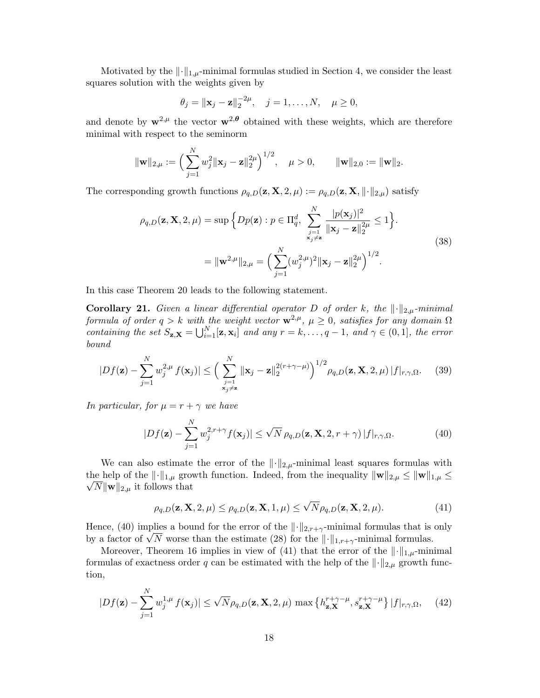Motivated by the  $\lVert \cdot \rVert_{1,\mu}$ -minimal formulas studied in Section 4, we consider the least squares solution with the weights given by

$$
\theta_j = ||\mathbf{x}_j - \mathbf{z}||_2^{-2\mu}, \quad j = 1, ..., N, \quad \mu \ge 0,
$$

and denote by  $w^{2,\mu}$  the vector  $w^{2,\theta}$  obtained with these weights, which are therefore minimal with respect to the seminorm

$$
\|\mathbf{w}\|_{2,\mu} := \Big(\sum_{j=1}^N w_j^2 \|\mathbf{x}_j - \mathbf{z}\|_2^{2\mu}\Big)^{1/2}, \quad \mu > 0, \qquad \|\mathbf{w}\|_{2,0} := \|\mathbf{w}\|_2.
$$

The corresponding growth functions  $\rho_{q,D}(\mathbf{z}, \mathbf{X}, 2, \mu) := \rho_{q,D}(\mathbf{z}, \mathbf{X}, \|\cdot\|_{2,\mu})$  satisfy

$$
\rho_{q,D}(\mathbf{z}, \mathbf{X}, 2, \mu) = \sup \Big\{ Dp(\mathbf{z}) : p \in \Pi_q^d, \sum_{\substack{j=1 \ y_j \neq \mathbf{z}}}^N \frac{|p(\mathbf{x}_j)|^2}{\|\mathbf{x}_j - \mathbf{z}\|_2^{2\mu}} \le 1 \Big\}.
$$
\n
$$
= \|\mathbf{w}^{2,\mu}\|_{2,\mu} = \Big(\sum_{j=1}^N (w_j^{2,\mu})^2 \|\mathbf{x}_j - \mathbf{z}\|_2^{2\mu}\Big)^{1/2}.
$$
\n(38)

In this case Theorem 20 leads to the following statement.

**Corollary 21.** Given a linear differential operator D of order k, the  $\|\cdot\|_{2,\mu}$ -minimal formula of order  $q > k$  with the weight vector  $\mathbf{w}^{2,\mu}$ ,  $\mu \geq 0$ , satisfies for any domain  $\Omega$ containing the set  $S_{\mathbf{z},\mathbf{X}} = \bigcup_{i=1}^N [\mathbf{z}, \mathbf{x}_i]$  and any  $r = k, \ldots, q - 1$ , and  $\gamma \in (0, 1]$ , the error bound

$$
|Df(\mathbf{z}) - \sum_{j=1}^{N} w_j^{2,\mu} f(\mathbf{x}_j)| \leq \Big(\sum_{\substack{j=1 \ x_j \neq \mathbf{z}}}^{N} \|\mathbf{x}_j - \mathbf{z}\|_2^{2(r+\gamma-\mu)}\Big)^{1/2} \rho_{q,D}(\mathbf{z}, \mathbf{X}, 2, \mu) \|f\|_{r,\gamma,\Omega}.
$$
 (39)

In particular, for  $\mu = r + \gamma$  we have

$$
|Df(\mathbf{z}) - \sum_{j=1}^{N} w_j^{2,r+\gamma} f(\mathbf{x}_j)| \le \sqrt{N} \rho_{q,D}(\mathbf{z}, \mathbf{X}, 2, r + \gamma) |f|_{r, \gamma, \Omega}.
$$
 (40)

We can also estimate the error of the  $\|\cdot\|_{2,\mu}$ -minimal least squares formulas with the help of the  $\|\cdot\|_{1,\mu}$  growth function. Indeed, from the inequality  $\|\mathbf{w}\|_{2,\mu} \leq \|\mathbf{w}\|_{1,\mu} \leq$  $\sqrt{N}$ ||w||<sub>2,µ</sub> it follows that

$$
\rho_{q,D}(\mathbf{z}, \mathbf{X}, 2, \mu) \le \rho_{q,D}(\mathbf{z}, \mathbf{X}, 1, \mu) \le \sqrt{N} \rho_{q,D}(\mathbf{z}, \mathbf{X}, 2, \mu).
$$
\n(41)

Hence, (40) implies a bound for the error of the  $\lVert \cdot \rVert_{2,r+\gamma}$ -minimal formulas that is only hence, (40) implies a bound for the error of the  $|| \cdot ||_{2,r+\gamma}$ -minimal formulas that is<br>by a factor of  $\sqrt{N}$  worse than the estimate (28) for the  $|| \cdot ||_{1,r+\gamma}$ -minimal formulas.

Moreover, Theorem 16 implies in view of (41) that the error of the  $\|\cdot\|_{1,\mu}$ -minimal formulas of exactness order q can be estimated with the help of the  $\|\cdot\|_{2,\mu}$  growth function,

$$
|Df(\mathbf{z}) - \sum_{j=1}^{N} w_j^{1,\mu} f(\mathbf{x}_j)| \le \sqrt{N} \rho_{q,D}(\mathbf{z}, \mathbf{X}, 2, \mu) \max \left\{ h_{\mathbf{z}, \mathbf{X}}^{r+\gamma-\mu}, s_{\mathbf{z}, \mathbf{X}}^{r+\gamma-\mu} \right\} |f|_{r,\gamma,\Omega}, \quad (42)
$$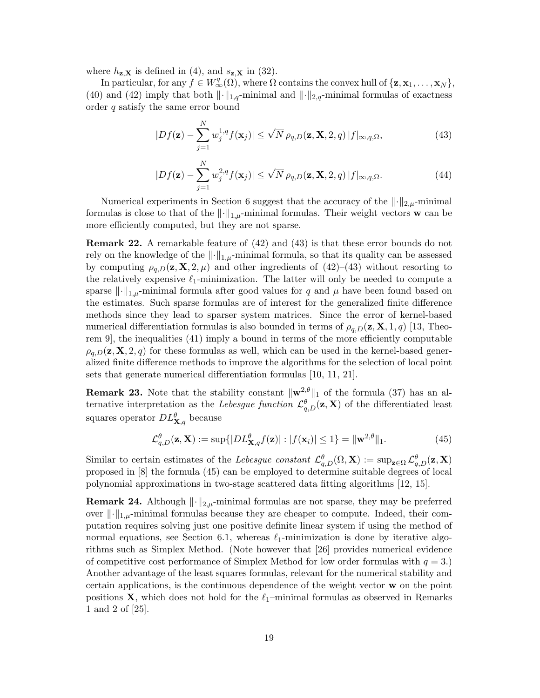where  $h_{\mathbf{z},\mathbf{X}}$  is defined in (4), and  $s_{\mathbf{z},\mathbf{X}}$  in (32).

In particular, for any  $f \in W^q_\infty(\Omega)$ , where  $\Omega$  contains the convex hull of  $\{z, \mathbf{x}_1, \dots, \mathbf{x}_N\},$ (40) and (42) imply that both  $\|\cdot\|_{1,q}$ -minimal and  $\|\cdot\|_{2,q}$ -minimal formulas of exactness order q satisfy the same error bound

$$
|Df(\mathbf{z}) - \sum_{j=1}^{N} w_j^{1,q} f(\mathbf{x}_j)| \le \sqrt{N} \rho_{q,D}(\mathbf{z}, \mathbf{X}, 2, q) |f|_{\infty, q, \Omega},
$$
\n(43)

$$
|Df(\mathbf{z}) - \sum_{j=1}^{N} w_j^{2,q} f(\mathbf{x}_j)| \le \sqrt{N} \rho_{q,D}(\mathbf{z}, \mathbf{X}, 2, q) |f|_{\infty, q, \Omega}.
$$
 (44)

Numerical experiments in Section 6 suggest that the accuracy of the  $\| \cdot \|_{2,\mu}$ -minimal formulas is close to that of the  $\|\cdot\|_{1,\mu}$ -minimal formulas. Their weight vectors w can be more efficiently computed, but they are not sparse.

Remark 22. A remarkable feature of (42) and (43) is that these error bounds do not rely on the knowledge of the  $\|\cdot\|_{1,\mu}$ -minimal formula, so that its quality can be assessed by computing  $\rho_{q,D}(z, X, 2, \mu)$  and other ingredients of  $(42)$ – $(43)$  without resorting to the relatively expensive  $\ell_1$ -minimization. The latter will only be needed to compute a sparse  $\|\cdot\|_{1,\mu}$ -minimal formula after good values for q and  $\mu$  have been found based on the estimates. Such sparse formulas are of interest for the generalized finite difference methods since they lead to sparser system matrices. Since the error of kernel-based numerical differentiation formulas is also bounded in terms of  $\rho_{a,D}(\mathbf{z}, \mathbf{X}, 1, q)$  [13, Theorem 9], the inequalities (41) imply a bound in terms of the more efficiently computable  $\rho_{a,D}(z, X, 2, q)$  for these formulas as well, which can be used in the kernel-based generalized finite difference methods to improve the algorithms for the selection of local point sets that generate numerical differentiation formulas [10, 11, 21].

**Remark 23.** Note that the stability constant  $\|\mathbf{w}^{2,\theta}\|_1$  of the formula (37) has an alternative interpretation as the Lebesgue function  $\mathcal{L}^{\theta}_{q,D}(\mathbf{z}, \mathbf{X})$  of the differentiated least squares operator  $DL_{\mathbf{X},q}^{\theta}$  because

$$
\mathcal{L}^{\theta}_{q,D}(\mathbf{z}, \mathbf{X}) := \sup\{|DL^{\theta}_{\mathbf{X},q}f(\mathbf{z})| : |f(\mathbf{x}_i)| \le 1\} = \|\mathbf{w}^{2,\theta}\|_1.
$$
 (45)

Similar to certain estimates of the Lebesgue constant  $\mathcal{L}^{\theta}_{q,D}(\Omega,\mathbf{X}) := \sup_{\mathbf{z}\in\Omega} \mathcal{L}^{\theta}_{q,D}(\mathbf{z},\mathbf{X})$ proposed in [8] the formula (45) can be employed to determine suitable degrees of local polynomial approximations in two-stage scattered data fitting algorithms [12, 15].

**Remark 24.** Although  $\lVert \cdot \rVert_{2,\mu}$ -minimal formulas are not sparse, they may be preferred over  $\|\cdot\|_{1,\mu}$ -minimal formulas because they are cheaper to compute. Indeed, their computation requires solving just one positive definite linear system if using the method of normal equations, see Section 6.1, whereas  $\ell_1$ -minimization is done by iterative algorithms such as Simplex Method. (Note however that [26] provides numerical evidence of competitive cost performance of Simplex Method for low order formulas with  $q = 3$ .) Another advantage of the least squares formulas, relevant for the numerical stability and certain applications, is the continuous dependence of the weight vector w on the point positions  $X$ , which does not hold for the  $\ell_1$ –minimal formulas as observed in Remarks 1 and 2 of [25].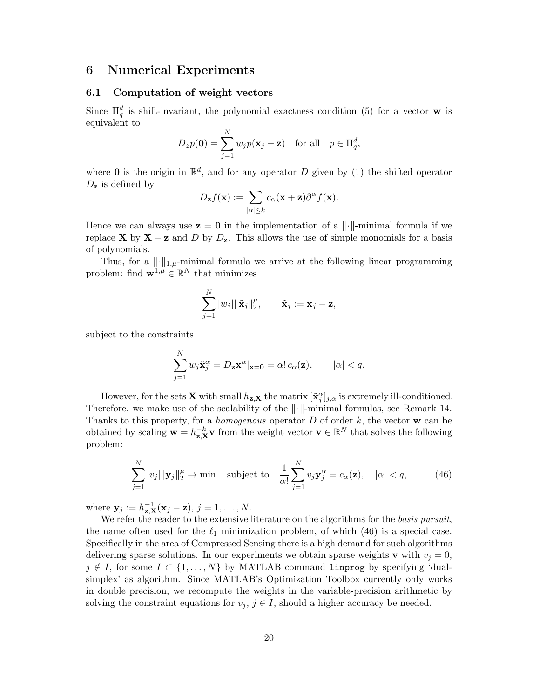### 6 Numerical Experiments

### 6.1 Computation of weight vectors

Since  $\Pi_q^d$  is shift-invariant, the polynomial exactness condition (5) for a vector w is equivalent to

$$
D_z p(\mathbf{0}) = \sum_{j=1}^N w_j p(\mathbf{x}_j - \mathbf{z}) \quad \text{for all} \quad p \in \Pi_q^d,
$$

where **0** is the origin in  $\mathbb{R}^d$ , and for any operator D given by (1) the shifted operator  $D_{\mathbf{z}}$  is defined by

$$
D_{\mathbf{z}}f(\mathbf{x}) := \sum_{|\alpha| \leq k} c_{\alpha}(\mathbf{x} + \mathbf{z}) \partial^{\alpha} f(\mathbf{x}).
$$

Hence we can always use z = 0 in the implementation of a k·k-minimal formula if we replace **X** by  $X - z$  and D by  $D_z$ . This allows the use of simple monomials for a basis of polynomials.

Thus, for a  $\|\cdot\|_{1,\mu}$ -minimal formula we arrive at the following linear programming problem: find  $\mathbf{w}^{1,\mu} \in \mathbb{R}^N$  that minimizes

$$
\sum_{j=1}^N |w_j| \|\tilde{\mathbf{x}}_j\|_2^{\mu}, \qquad \tilde{\mathbf{x}}_j := \mathbf{x}_j - \mathbf{z},
$$

subject to the constraints

$$
\sum_{j=1}^{N} w_j \tilde{\mathbf{x}}_j^{\alpha} = D_{\mathbf{z}} \mathbf{x}^{\alpha} |_{\mathbf{x}=\mathbf{0}} = \alpha! c_{\alpha}(\mathbf{z}), \qquad |\alpha| < q.
$$

However, for the sets **X** with small  $h_{\mathbf{z},\mathbf{X}}$  the matrix  $[\tilde{\mathbf{x}}_j^{\alpha}]_{j,\alpha}$  is extremely ill-conditioned. Therefore, we make use of the scalability of the  $\lVert \cdot \rVert$ -minimal formulas, see Remark 14. Thanks to this property, for a *homogenous* operator  $D$  of order  $k$ , the vector  $\bf{w}$  can be obtained by scaling  $\mathbf{w} = h_{\mathbf{z},\mathbf{X}}^{-k} \mathbf{v}$  from the weight vector  $\mathbf{v} \in \mathbb{R}^N$  that solves the following problem:

$$
\sum_{j=1}^{N} |v_j| \| \mathbf{y}_j \|_2^{\mu} \to \min \quad \text{subject to} \quad \frac{1}{\alpha!} \sum_{j=1}^{N} v_j \mathbf{y}_j^{\alpha} = c_{\alpha}(\mathbf{z}), \quad |\alpha| < q,\tag{46}
$$

where  $\mathbf{y}_j := h_{\mathbf{z},\mathbf{X}}^{-1}(\mathbf{x}_j - \mathbf{z}), j = 1,\ldots,N.$ 

We refer the reader to the extensive literature on the algorithms for the basis pursuit, the name often used for the  $\ell_1$  minimization problem, of which (46) is a special case. Specifically in the area of Compressed Sensing there is a high demand for such algorithms delivering sparse solutions. In our experiments we obtain sparse weights **v** with  $v_j = 0$ ,  $j \notin I$ , for some  $I \subset \{1, ..., N\}$  by MATLAB command lingrog by specifying 'dualsimplex' as algorithm. Since MATLAB's Optimization Toolbox currently only works in double precision, we recompute the weights in the variable-precision arithmetic by solving the constraint equations for  $v_j, j \in I$ , should a higher accuracy be needed.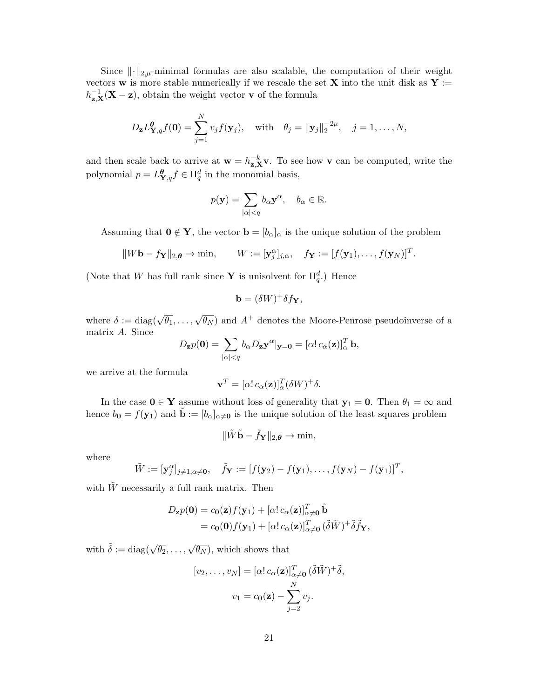Since  $\lVert \cdot \rVert_{2,\mu}$ -minimal formulas are also scalable, the computation of their weight vectors **w** is more stable numerically if we rescale the set **X** into the unit disk as **Y** :=  $h_{\mathbf{z},\mathbf{X}}^{-1}(\mathbf{X}-\mathbf{z})$ , obtain the weight vector **v** of the formula

$$
D_{\mathbf{z}}L_{\mathbf{Y},q}^{\theta}f(\mathbf{0})=\sum_{j=1}^N v_jf(\mathbf{y}_j), \text{ with } \theta_j=\|\mathbf{y}_j\|_2^{-2\mu}, \quad j=1,\ldots,N,
$$

and then scale back to arrive at  $\mathbf{w} = h_{\mathbf{z},\mathbf{X}}^{-k} \mathbf{v}$ . To see how v can be computed, write the polynomial  $p = L_{\mathbf{Y},q}^{\theta} f \in \Pi_q^d$  in the monomial basis,

$$
p(\mathbf{y}) = \sum_{|\alpha| < q} b_{\alpha} \mathbf{y}^{\alpha}, \quad b_{\alpha} \in \mathbb{R}.
$$

Assuming that  $\mathbf{0} \notin \mathbf{Y}$ , the vector  $\mathbf{b} = [b_{\alpha}]_{\alpha}$  is the unique solution of the problem

$$
||W\mathbf{b} - f_{\mathbf{Y}}||_{2,\boldsymbol{\theta}} \to \min, \qquad W := [\mathbf{y}_{j}^{\alpha}]_{j,\alpha}, \quad f_{\mathbf{Y}} := [f(\mathbf{y}_{1}), \ldots, f(\mathbf{y}_{N})]^{T}.
$$

(Note that W has full rank since Y is unisolvent for  $\Pi_q^d$ .) Hence

$$
\mathbf{b} = (\delta W)^{+} \delta f_{\mathbf{Y}},
$$

where  $\delta := \text{diag}(\sqrt{\theta_1}, \ldots, \sqrt{\theta_N})$  and  $A^+$  denotes the Moore-Penrose pseudoinverse of a matrix A. Since

$$
D_{\mathbf{z}}p(\mathbf{0}) = \sum_{|\alpha| < q} b_{\alpha} D_{\mathbf{z}} \mathbf{y}^{\alpha} \vert_{\mathbf{y} = \mathbf{0}} = [\alpha! \, c_{\alpha}(\mathbf{z})]_{\alpha}^T \, \mathbf{b},
$$

we arrive at the formula

$$
\mathbf{v}^T=[\alpha!\,c_{\alpha}(\mathbf{z})]^T_{\alpha}(\delta W)^+\delta.
$$

In the case  $0 \in Y$  assume without loss of generality that  $y_1 = 0$ . Then  $\theta_1 = \infty$  and hence  $b_0 = f(y_1)$  and  $\tilde{\mathbf{b}} := [b_\alpha]_{\alpha \neq 0}$  is the unique solution of the least squares problem

$$
\|\tilde{W}\tilde{\mathbf{b}}-\tilde{f}_{\mathbf{Y}}\|_{2,\boldsymbol{\theta}}\rightarrow\min,
$$

where

$$
\tilde{W} := [\mathbf{y}_j^{\alpha}]_{j \neq 1, \alpha \neq \mathbf{0}}, \quad \tilde{f}_{\mathbf{Y}} := [f(\mathbf{y}_2) - f(\mathbf{y}_1), \dots, f(\mathbf{y}_N) - f(\mathbf{y}_1)]^T,
$$

with  $\tilde{W}$  necessarily a full rank matrix. Then

$$
D_{\mathbf{z}}p(\mathbf{0}) = c_{\mathbf{0}}(\mathbf{z})f(\mathbf{y}_1) + [\alpha! c_{\alpha}(\mathbf{z})]_{\alpha \neq \mathbf{0}}^T \tilde{\mathbf{b}}
$$
  
=  $c_{\mathbf{0}}(\mathbf{0})f(\mathbf{y}_1) + [\alpha! c_{\alpha}(\mathbf{z})]_{\alpha \neq \mathbf{0}}^T (\tilde{\delta}\tilde{W})^+ \tilde{\delta}\tilde{f}_{\mathbf{Y}},$ 

with  $\tilde{\delta} := \text{diag}(\sqrt{\theta_2}, \dots, \sqrt{\theta_N})$ , which shows that

$$
[v_2, \dots, v_N] = [\alpha! c_\alpha(\mathbf{z})]_{\alpha \neq \mathbf{0}}^T (\tilde{\delta}\tilde{W})^+ \tilde{\delta},
$$

$$
v_1 = c_\mathbf{0}(\mathbf{z}) - \sum_{j=2}^N v_j.
$$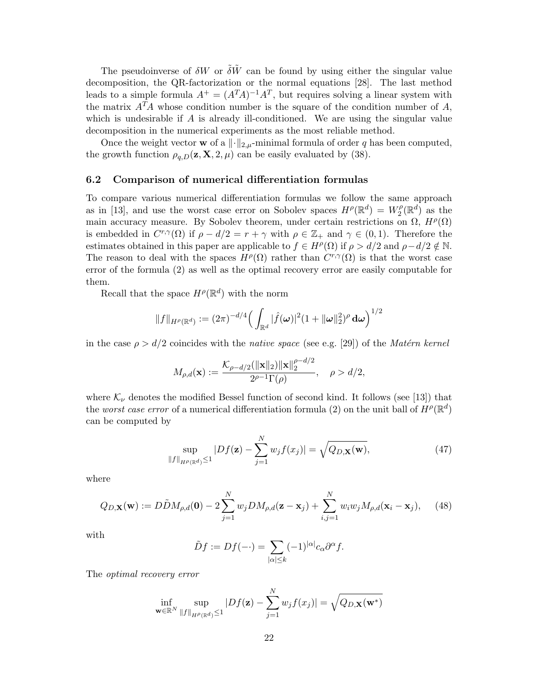The pseudoinverse of  $\delta W$  or  $\tilde{\delta} \tilde{W}$  can be found by using either the singular value decomposition, the QR-factorization or the normal equations [28]. The last method leads to a simple formula  $A^+ = (A^T A)^{-1} A^T$ , but requires solving a linear system with the matrix  $A<sup>T</sup>A$  whose condition number is the square of the condition number of A, which is undesirable if  $A$  is already ill-conditioned. We are using the singular value decomposition in the numerical experiments as the most reliable method.

Once the weight vector **w** of a  $\|\cdot\|_{2,\mu}$ -minimal formula of order q has been computed, the growth function  $\rho_{q,D}(\mathbf{z}, \mathbf{X}, 2, \mu)$  can be easily evaluated by (38).

### 6.2 Comparison of numerical differentiation formulas

To compare various numerical differentiation formulas we follow the same approach as in [13], and use the worst case error on Sobolev spaces  $H^{\rho}(\mathbb{R}^d) = W_2^{\rho}$  $i_2^{\rho}(\mathbb{R}^d)$  as the main accuracy measure. By Sobolev theorem, under certain restrictions on  $\Omega$ ,  $H^{\rho}(\Omega)$ is embedded in  $C^{r,\gamma}(\Omega)$  if  $\rho - d/2 = r + \gamma$  with  $\rho \in \mathbb{Z}_+$  and  $\gamma \in (0,1)$ . Therefore the estimates obtained in this paper are applicable to  $f \in H^{\rho}(\Omega)$  if  $\rho > d/2$  and  $\rho - d/2 \notin \mathbb{N}$ . The reason to deal with the spaces  $H^{\rho}(\Omega)$  rather than  $C^{r,\gamma}(\Omega)$  is that the worst case error of the formula (2) as well as the optimal recovery error are easily computable for them.

Recall that the space  $H^{\rho}(\mathbb{R}^d)$  with the norm

$$
||f||_{H^{\rho}(\mathbb{R}^d)} := (2\pi)^{-d/4} \Big( \int_{\mathbb{R}^d} |\hat{f}(\boldsymbol{\omega})|^2 (1 + ||\boldsymbol{\omega}||_2^2)^{\rho} d\boldsymbol{\omega} \Big)^{1/2}
$$

in the case  $\rho > d/2$  coincides with the *native space* (see e.g. [29]) of the *Matérn kernel* 

$$
M_{\rho,d}(\mathbf{x}) := \frac{\mathcal{K}_{\rho-d/2}(\|\mathbf{x}\|_2)\|\mathbf{x}\|_2^{\rho-d/2}}{2^{\rho-1}\Gamma(\rho)}, \quad \rho > d/2,
$$

where  $\mathcal{K}_{\nu}$  denotes the modified Bessel function of second kind. It follows (see [13]) that the *worst case error* of a numerical differentiation formula (2) on the unit ball of  $H^{\rho}(\mathbb{R}^d)$ can be computed by

$$
\sup_{\|f\|_{H^{\rho}(\mathbb{R}^d)}\leq 1} |Df(\mathbf{z}) - \sum_{j=1}^N w_j f(x_j)| = \sqrt{Q_{D,\mathbf{X}}(\mathbf{w})},\tag{47}
$$

where

$$
Q_{D,\mathbf{X}}(\mathbf{w}) := D\tilde{D}M_{\rho,d}(\mathbf{0}) - 2\sum_{j=1}^{N} w_j D M_{\rho,d}(\mathbf{z} - \mathbf{x}_j) + \sum_{i,j=1}^{N} w_i w_j M_{\rho,d}(\mathbf{x}_i - \mathbf{x}_j), \quad (48)
$$

with

$$
\tilde{D}f := Df(-\cdot) = \sum_{|\alpha| \le k} (-1)^{|\alpha|} c_{\alpha} \partial^{\alpha} f.
$$

The optimal recovery error

$$
\inf_{\mathbf{w}\in\mathbb{R}^N} \sup_{\|f\|_{H^{\rho}(\mathbb{R}^d)}\leq 1} |Df(\mathbf{z}) - \sum_{j=1}^N w_j f(x_j)| = \sqrt{Q_{D,\mathbf{X}}(\mathbf{w}^*)}
$$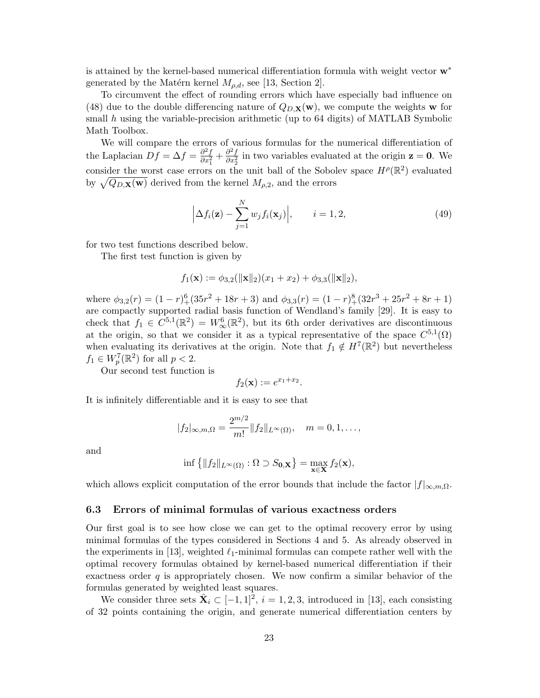is attained by the kernel-based numerical differentiation formula with weight vector w<sup>∗</sup> generated by the Matérn kernel  $M_{\rho,d}$ , see [13, Section 2].

To circumvent the effect of rounding errors which have especially bad influence on (48) due to the double differencing nature of  $Q_{D,\mathbf{X}}(\mathbf{w})$ , we compute the weights w for small  $h$  using the variable-precision arithmetic (up to 64 digits) of MATLAB Symbolic Math Toolbox.

We will compare the errors of various formulas for the numerical differentiation of the Laplacian  $Df = \Delta f = \frac{\partial^2 f}{\partial x^2}$  $\frac{\partial^2 f}{\partial x_1^2} + \frac{\partial^2 f}{\partial x_2^2}$  $\frac{\partial^2 f}{\partial x_2^2}$  in two variables evaluated at the origin  $z = 0$ . We consider the worst case errors on the unit ball of the Sobolev space  $H^{\rho}(\mathbb{R}^2)$  evaluated by  $\sqrt{Q_{D,\mathbf{X}}(\mathbf{w})}$  derived from the kernel  $M_{\rho,2}$ , and the errors

$$
\left| \Delta f_i(\mathbf{z}) - \sum_{j=1}^N w_j f_i(\mathbf{x}_j) \right|, \qquad i = 1, 2,
$$
\n(49)

for two test functions described below.

The first test function is given by

$$
f_1(\mathbf{x}) := \phi_{3,2}(\|\mathbf{x}\|_2)(x_1 + x_2) + \phi_{3,3}(\|\mathbf{x}\|_2),
$$

where  $\phi_{3,2}(r) = (1 - r)^6 + (35r^2 + 18r + 3)$  and  $\phi_{3,3}(r) = (1 - r)^8 + (32r^3 + 25r^2 + 8r + 1)$ are compactly supported radial basis function of Wendland's family [29]. It is easy to check that  $f_1 \in C^{5,1}(\mathbb{R}^2) = W^6_{\infty}(\mathbb{R}^2)$ , but its 6th order derivatives are discontinuous at the origin, so that we consider it as a typical representative of the space  $C^{5,1}(\Omega)$ when evaluating its derivatives at the origin. Note that  $f_1 \notin H^7(\mathbb{R}^2)$  but nevertheless  $f_1 \in W_p^7(\mathbb{R}^2)$  for all  $p < 2$ .

Our second test function is

$$
f_2(\mathbf{x}) := e^{x_1+x_2}.
$$

It is infinitely differentiable and it is easy to see that

$$
|f_2|_{\infty,m,\Omega} = \frac{2^{m/2}}{m!} ||f_2||_{L^{\infty}(\Omega)}, \quad m = 0, 1, ...,
$$

and

$$
\inf \left\{ \|f_2\|_{L^{\infty}(\Omega)} : \Omega \supset S_{0,\mathbf{X}} \right\} = \max_{\mathbf{x} \in \mathbf{X}} f_2(\mathbf{x}),
$$

which allows explicit computation of the error bounds that include the factor  $|f|_{\infty,m,\Omega}$ .

#### 6.3 Errors of minimal formulas of various exactness orders

Our first goal is to see how close we can get to the optimal recovery error by using minimal formulas of the types considered in Sections 4 and 5. As already observed in the experiments in [13], weighted  $\ell_1$ -minimal formulas can compete rather well with the optimal recovery formulas obtained by kernel-based numerical differentiation if their exactness order  $q$  is appropriately chosen. We now confirm a similar behavior of the formulas generated by weighted least squares.

We consider three sets  $\hat{\mathbf{X}}_i \subset [-1,1]^2$ ,  $i=1,2,3$ , introduced in [13], each consisting of 32 points containing the origin, and generate numerical differentiation centers by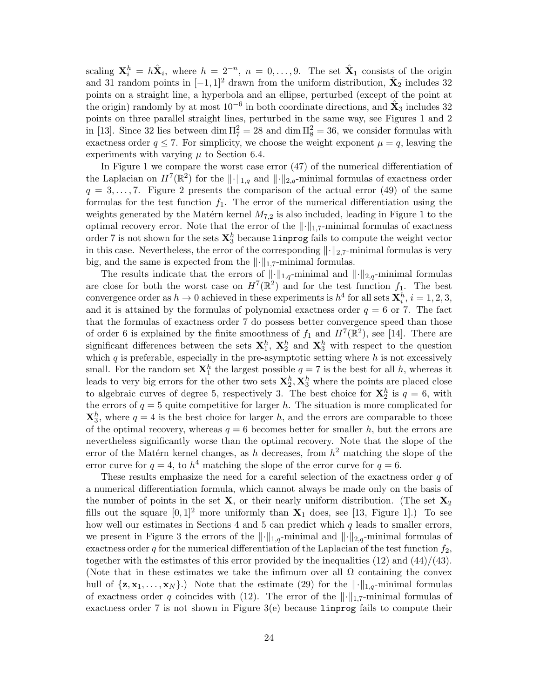scaling  $\mathbf{X}_i^h = h\hat{\mathbf{X}}_i$ , where  $h = 2^{-n}$ ,  $n = 0, \ldots, 9$ . The set  $\hat{\mathbf{X}}_1$  consists of the origin and 31 random points in  $[-1, 1]^2$  drawn from the uniform distribution,  $\hat{\mathbf{X}}_2$  includes 32 points on a straight line, a hyperbola and an ellipse, perturbed (except of the point at the origin) randomly by at most  $10^{-6}$  in both coordinate directions, and  $\hat{\mathbf{X}}_3$  includes 32 points on three parallel straight lines, perturbed in the same way, see Figures 1 and 2 in [13]. Since 32 lies between  $\dim \Pi_7^2 = 28$  and  $\dim \Pi_8^2 = 36$ , we consider formulas with exactness order  $q \leq 7$ . For simplicity, we choose the weight exponent  $\mu = q$ , leaving the experiments with varying  $\mu$  to Section 6.4.

In Figure 1 we compare the worst case error (47) of the numerical differentiation of the Laplacian on  $H^7(\mathbb{R}^2)$  for the  $\|\cdot\|_{1,q}$  and  $\|\cdot\|_{2,q}$ -minimal formulas of exactness order  $q = 3, \ldots, 7$ . Figure 2 presents the comparison of the actual error (49) of the same formulas for the test function  $f_1$ . The error of the numerical differentiation using the weights generated by the Matérn kernel  $M_{7,2}$  is also included, leading in Figure 1 to the optimal recovery error. Note that the error of the  $\|\cdot\|_{1,7}$ -minimal formulas of exactness order 7 is not shown for the sets  $\mathbf{X}_3^h$  because  $\texttt{linprog}$  fails to compute the weight vector in this case. Nevertheless, the error of the corresponding  $\lVert \cdot \rVert_{2,7}$ -minimal formulas is very big, and the same is expected from the  $\lVert \cdot \rVert_{1.7}$ -minimal formulas.

The results indicate that the errors of  $\lVert \cdot \rVert_{1,q}$ -minimal and  $\lVert \cdot \rVert_{2,q}$ -minimal formulas are close for both the worst case on  $H^7(\mathbb{R}^2)$  and for the test function  $f_1$ . The best convergence order as  $h \to 0$  achieved in these experiments is  $h^4$  for all sets  $\mathbf{X}_i^h$ ,  $i = 1, 2, 3$ , and it is attained by the formulas of polynomial exactness order  $q = 6$  or 7. The fact that the formulas of exactness order 7 do possess better convergence speed than those of order 6 is explained by the finite smoothness of  $f_1$  and  $H^7(\mathbb{R}^2)$ , see [14]. There are significant differences between the sets  $X_1^h$ ,  $X_2^h$  and  $X_3^h$  with respect to the question which  $q$  is preferable, especially in the pre-asymptotic setting where  $h$  is not excessively small. For the random set  $\mathbf{X}_1^h$  the largest possible  $q = 7$  is the best for all h, whereas it leads to very big errors for the other two sets  $\mathbf{X}_2^h$ ,  $\mathbf{X}_3^h$  where the points are placed close to algebraic curves of degree 5, respectively 3. The best choice for  $\mathbf{X}_2^h$  is  $q=6$ , with the errors of  $q = 5$  quite competitive for larger h. The situation is more complicated for  $\mathbf{X}_3^h$ , where  $q = 4$  is the best choice for larger h, and the errors are comparable to those of the optimal recovery, whereas  $q = 6$  becomes better for smaller h, but the errors are nevertheless significantly worse than the optimal recovery. Note that the slope of the error of the Matérn kernel changes, as h decreases, from  $h^2$  matching the slope of the error curve for  $q = 4$ , to  $h^4$  matching the slope of the error curve for  $q = 6$ .

These results emphasize the need for a careful selection of the exactness order  $q$  of a numerical differentiation formula, which cannot always be made only on the basis of the number of points in the set  $X$ , or their nearly uniform distribution. (The set  $X_2$ fills out the square  $[0,1]^2$  more uniformly than  $X_1$  does, see [13, Figure 1].) To see how well our estimates in Sections  $4$  and  $5$  can predict which  $q$  leads to smaller errors, we present in Figure 3 the errors of the  $\|\cdot\|_{1,q}$ -minimal and  $\|\cdot\|_{2,q}$ -minimal formulas of exactness order q for the numerical differentiation of the Laplacian of the test function  $f_2$ , together with the estimates of this error provided by the inequalities  $(12)$  and  $(44)/(43)$ . (Note that in these estimates we take the infimum over all  $\Omega$  containing the convex hull of  $\{z, x_1, \ldots, x_N\}$ .) Note that the estimate (29) for the  $\lVert \cdot \rVert_{1,q}$ -minimal formulas of exactness order q coincides with (12). The error of the  $\|\cdot\|_{1.7}$ -minimal formulas of exactness order 7 is not shown in Figure  $3(e)$  because lingrog fails to compute their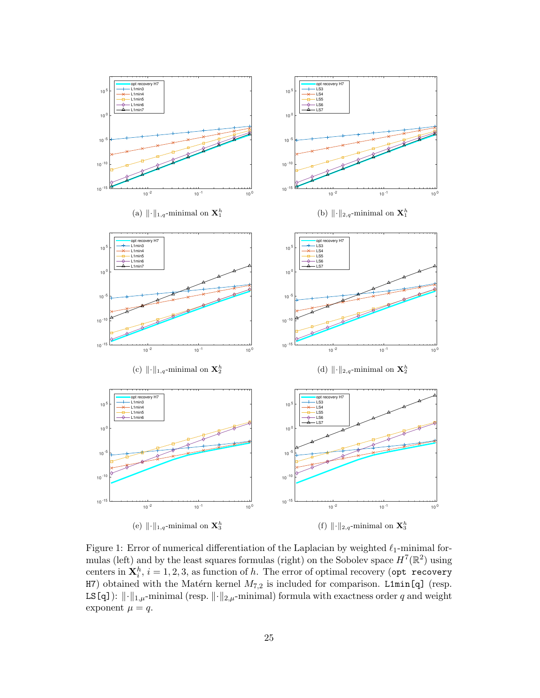

Figure 1: Error of numerical differentiation of the Laplacian by weighted  $\ell_1$ -minimal formulas (left) and by the least squares formulas (right) on the Sobolev space  $H^7(\mathbb{R}^2)$  using centers in  $\mathbf{X}_i^h$ ,  $i = 1, 2, 3$ , as function of h. The error of optimal recovery (opt recovery H7) obtained with the Matérn kernel  $M_{7,2}$  is included for comparison. L1min[q] (resp. LS[q]):  $\|\cdot\|_{1,\mu}$ -minimal (resp.  $\|\cdot\|_{2,\mu}$ -minimal) formula with exactness order q and weight exponent  $\mu = q$ .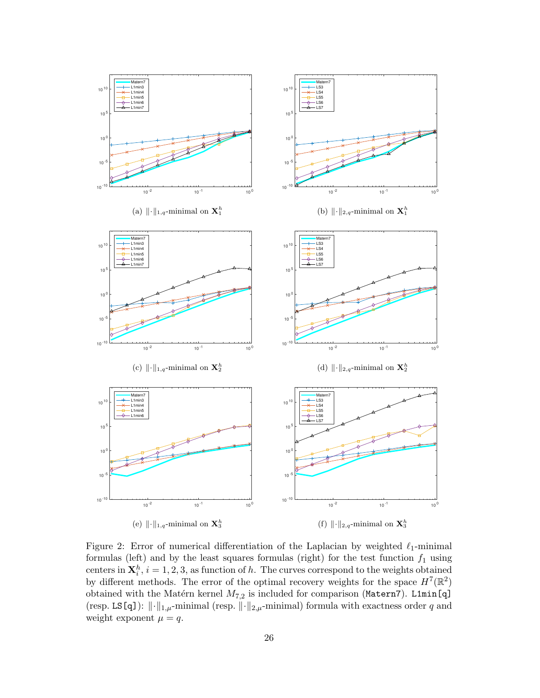

Figure 2: Error of numerical differentiation of the Laplacian by weighted  $\ell_1$ -minimal formulas (left) and by the least squares formulas (right) for the test function  $f_1$  using centers in  $\mathbf{X}_i^h$ ,  $i = 1, 2, 3$ , as function of h. The curves correspond to the weights obtained by different methods. The error of the optimal recovery weights for the space  $H^7(\mathbb{R}^2)$ obtained with the Matérn kernel  $M_{7,2}$  is included for comparison (Matern7). L1min[q] (resp. LS[q]):  $\|\cdot\|_{1,\mu}$ -minimal (resp.  $\|\cdot\|_{2,\mu}$ -minimal) formula with exactness order q and weight exponent  $\mu = q$ .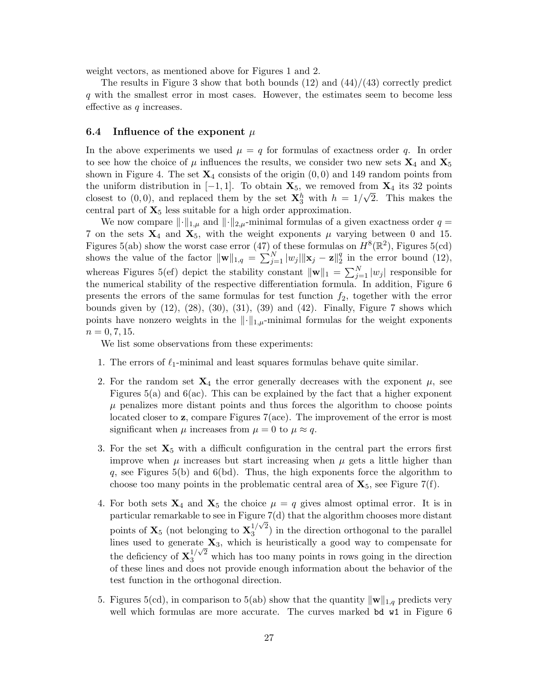weight vectors, as mentioned above for Figures 1 and 2.

The results in Figure 3 show that both bounds  $(12)$  and  $(44)/(43)$  correctly predict q with the smallest error in most cases. However, the estimates seem to become less effective as  $q$  increases.

#### 6.4 Influence of the exponent  $\mu$

In the above experiments we used  $\mu = q$  for formulas of exactness order q. In order to see how the choice of  $\mu$  influences the results, we consider two new sets  $\mathbf{X}_4$  and  $\mathbf{X}_5$ shown in Figure 4. The set  $\mathbf{X}_4$  consists of the origin  $(0,0)$  and 149 random points from the uniform distribution in  $[-1, 1]$ . To obtain  $\mathbf{X}_5$ , we removed from  $\mathbf{X}_4$  its 32 points closest to  $(0,0)$ , and replaced them by the set  $\mathbf{X}_3^h$  with  $h = 1/\sqrt{2}$ . This makes the central part of  $X_5$  less suitable for a high order approximation.

We now compare  $\lVert \cdot \rVert_{1,\mu}$  and  $\lVert \cdot \rVert_{2,\mu}$ -minimal formulas of a given exactness order  $q =$ 7 on the sets  $X_4$  and  $X_5$ , with the weight exponents  $\mu$  varying between 0 and 15. Figures 5(ab) show the worst case error (47) of these formulas on  $H^{8}(\mathbb{R}^{2})$ , Figures 5(cd) shows the value of the factor  $\|\mathbf{w}\|_{1,q} = \sum_{j=1}^{N} |w_j| \|\mathbf{x}_j - \mathbf{z}\|_2^q$  $\frac{q}{2}$  in the error bound (12), whereas Figures 5(ef) depict the stability constant  $\|\mathbf{w}\|_1 = \sum_{j=1}^N |w_j|$  responsible for the numerical stability of the respective differentiation formula. In addition, Figure 6 presents the errors of the same formulas for test function  $f_2$ , together with the error bounds given by  $(12)$ ,  $(28)$ ,  $(30)$ ,  $(31)$ ,  $(39)$  and  $(42)$ . Finally, Figure 7 shows which points have nonzero weights in the  $\lVert \cdot \rVert_{1,\mu}$ -minimal formulas for the weight exponents  $n = 0, 7, 15.$ 

We list some observations from these experiments:

- 1. The errors of  $\ell_1$ -minimal and least squares formulas behave quite similar.
- 2. For the random set  $X_4$  the error generally decreases with the exponent  $\mu$ , see Figures 5(a) and 6(ac). This can be explained by the fact that a higher exponent  $\mu$  penalizes more distant points and thus forces the algorithm to choose points located closer to z, compare Figures 7(ace). The improvement of the error is most significant when  $\mu$  increases from  $\mu = 0$  to  $\mu \approx q$ .
- 3. For the set  $X_5$  with a difficult configuration in the central part the errors first improve when  $\mu$  increases but start increasing when  $\mu$  gets a little higher than q, see Figures 5(b) and 6(bd). Thus, the high exponents force the algorithm to choose too many points in the problematic central area of  $\mathbf{X}_5$ , see Figure 7(f).
- 4. For both sets  $\mathbf{X}_4$  and  $\mathbf{X}_5$  the choice  $\mu = q$  gives almost optimal error. It is in particular remarkable to see in Figure  $7(d)$  that the algorithm chooses more distant points of  $\mathbf{X}_5$  (not belonging to  $\mathbf{X}_3^{1/\sqrt{2}}$  $3^{1/\sqrt{2}}$ ) in the direction orthogonal to the parallel lines used to generate  $\mathbf{X}_3$ , which is heuristically a good way to compensate for the deficiency of  $\mathbf{X}_3^{1/\sqrt{2}}$  which has too many points in rows going in the direction of these lines and does not provide enough information about the behavior of the test function in the orthogonal direction.
- 5. Figures 5(cd), in comparison to 5(ab) show that the quantity  $\|\mathbf{w}\|_{1,q}$  predicts very well which formulas are more accurate. The curves marked bot w<sup>1</sup> in Figure 6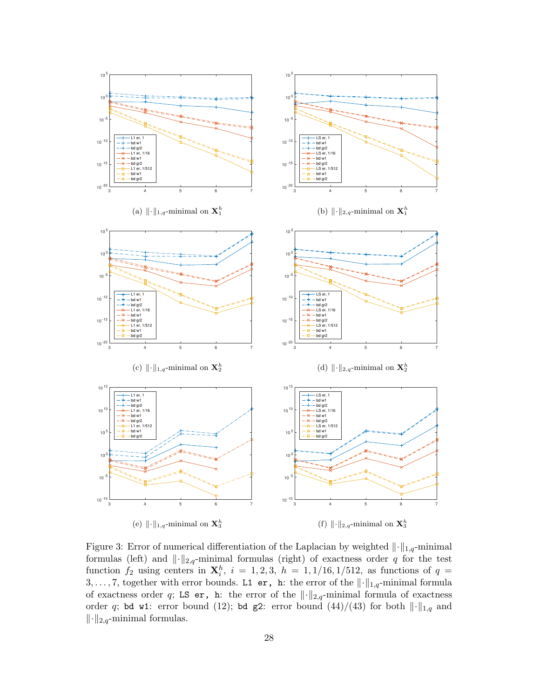

Figure 3: Error of numerical differentiation of the Laplacian by weighted  $\|\cdot\|_{1,q}$ -minimal formulas (left) and  $\lVert \cdot \rVert_{2,q}$ -minimal formulas (right) of exactness order q for the test function  $f_2$  using centers in  $\mathbf{X}_i^h$ ,  $i = 1, 2, 3$ ,  $h = 1, 1/16, 1/512$ , as functions of  $q =$ 3, ..., 7, together with error bounds. L1 er, h: the error of the  $\lVert \cdot \rVert_{1,q}$ -minimal formula of exactness order q; LS er, h: the error of the  $\lVert \cdot \rVert_{2,q}$ -minimal formula of exactness order q; bd w1: error bound (12); bd g2: error bound (44)/(43) for both  $\lVert \cdot \rVert_{1,q}$  and  $\lVert \cdot \rVert_{2,q}$ -minimal formulas.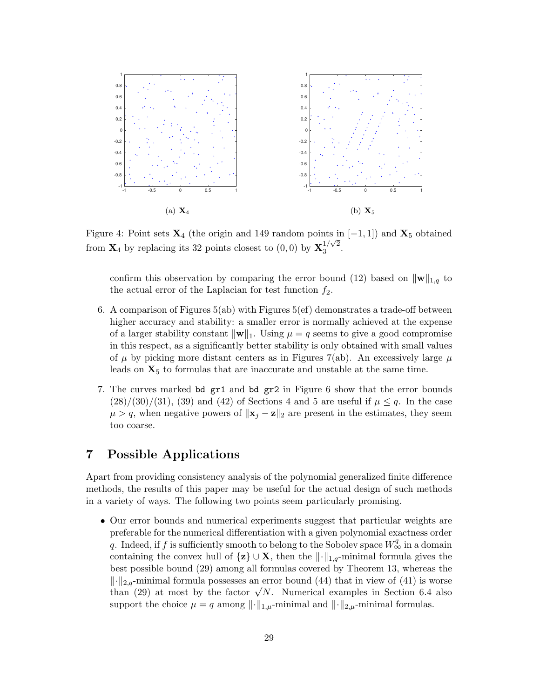

Figure 4: Point sets  $\mathbf{X}_4$  (the origin and 149 random points in [-1, 1]) and  $\mathbf{X}_5$  obtained from  $\mathbf{X}_4$  by replacing its 32 points closest to  $(0,0)$  by  $\mathbf{X}_3^{1/\sqrt{2}}$  $3^{1/\sqrt{2}}$ .

confirm this observation by comparing the error bound (12) based on  $\|\mathbf{w}\|_{1,q}$  to the actual error of the Laplacian for test function  $f_2$ .

- 6. A comparison of Figures 5(ab) with Figures 5(ef) demonstrates a trade-off between higher accuracy and stability: a smaller error is normally achieved at the expense of a larger stability constant  $\|\mathbf{w}\|_{1}$ . Using  $\mu = q$  seems to give a good compromise in this respect, as a significantly better stability is only obtained with small values of  $\mu$  by picking more distant centers as in Figures 7(ab). An excessively large  $\mu$ leads on  $X_5$  to formulas that are inaccurate and unstable at the same time.
- 7. The curves marked bd gr1 and bd gr2 in Figure 6 show that the error bounds  $(28)/(30)/(31)$ , (39) and (42) of Sections 4 and 5 are useful if  $\mu \leq q$ . In the case  $\mu > q$ , when negative powers of  $\|\mathbf{x}_i - \mathbf{z}\|_2$  are present in the estimates, they seem too coarse.

# 7 Possible Applications

Apart from providing consistency analysis of the polynomial generalized finite difference methods, the results of this paper may be useful for the actual design of such methods in a variety of ways. The following two points seem particularly promising.

• Our error bounds and numerical experiments suggest that particular weights are preferable for the numerical differentiation with a given polynomial exactness order q. Indeed, if f is sufficiently smooth to belong to the Sobolev space  $W^q_{\infty}$  in a domain containing the convex hull of  $\{z\} \cup X$ , then the  $\lVert \cdot \rVert_{1,q}$ -minimal formula gives the best possible bound (29) among all formulas covered by Theorem 13, whereas the  $\lVert \cdot \rVert_{2,q}$ -minimal formula possesses an error bound (44) that in view of (41) is worse  $|| \cdot ||_{2,q}$ -minimal formula possesses an error bound (44) that in view of (41) is worse<br>than (29) at most by the factor  $\sqrt{N}$ . Numerical examples in Section 6.4 also support the choice  $\mu = q$  among  $\lVert \cdot \rVert_{1,\mu}$ -minimal and  $\lVert \cdot \rVert_{2,\mu}$ -minimal formulas.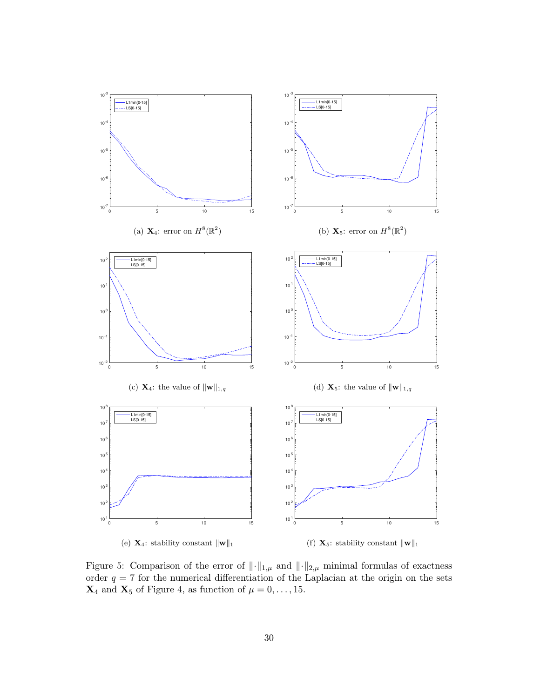

Figure 5: Comparison of the error of  $\|\cdot\|_{1,\mu}$  and  $\|\cdot\|_{2,\mu}$  minimal formulas of exactness order  $q = 7$  for the numerical differentiation of the Laplacian at the origin on the sets  $\mathbf{X}_4$  and  $\mathbf{X}_5$  of Figure 4, as function of  $\mu=0,\ldots,15.$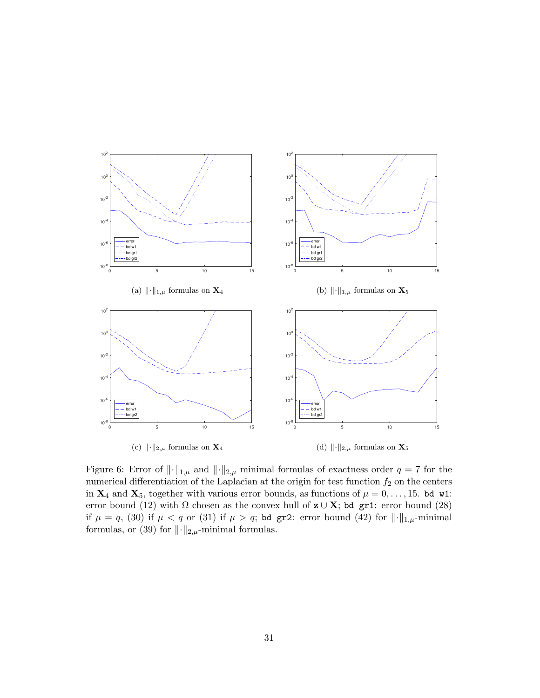

Figure 6: Error of  $\|\cdot\|_{1,\mu}$  and  $\|\cdot\|_{2,\mu}$  minimal formulas of exactness order  $q = 7$  for the numerical differentiation of the Laplacian at the origin for test function  $f_2$  on the centers in  $X_4$  and  $X_5$ , together with various error bounds, as functions of  $\mu = 0, \ldots, 15$ . bd w1: error bound (12) with  $\Omega$  chosen as the convex hull of  $z \cup X$ ; bd gr1: error bound (28) if  $\mu = q$ , (30) if  $\mu < q$  or (31) if  $\mu > q$ ; bd gr2: error bound (42) for  $\|\cdot\|_{1,\mu}$ -minimal formulas, or (39) for  $\lVert \cdot \rVert_{2,\mu}$ -minimal formulas.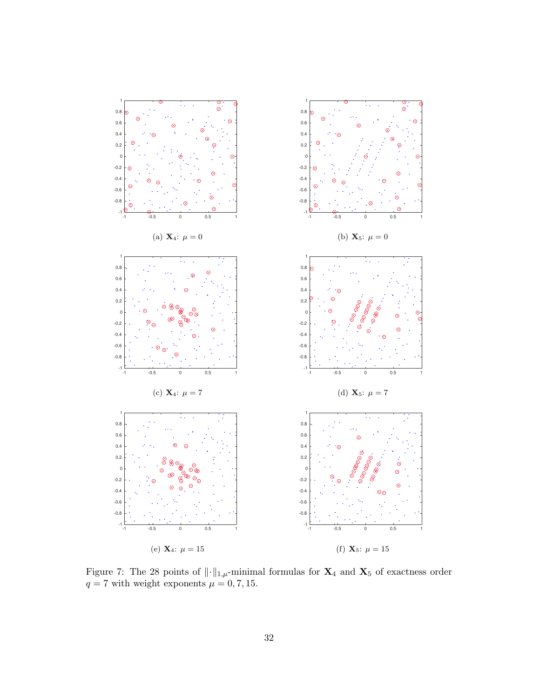

Figure 7: The 28 points of  $\lVert \cdot \rVert_{1,\mu}$ -minimal formulas for  $\mathbf{X}_4$  and  $\mathbf{X}_5$  of exactness order  $q = 7$  with weight exponents  $\mu = 0, 7, 15$ .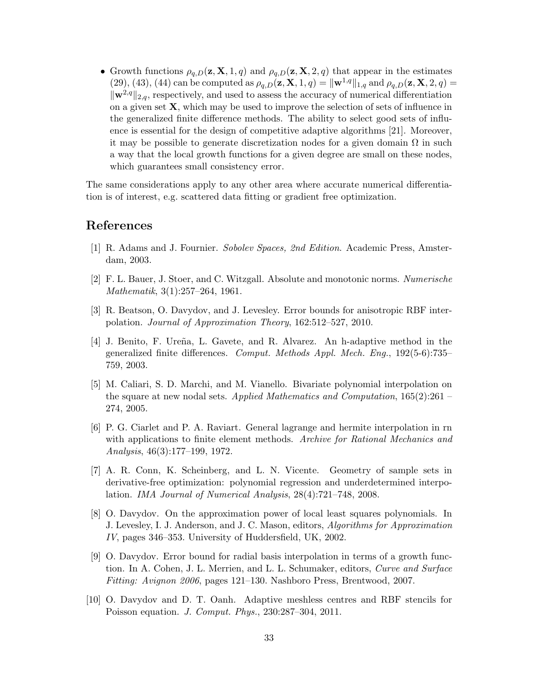• Growth functions  $\rho_{q,D}(z, X, 1, q)$  and  $\rho_{q,D}(z, X, 2, q)$  that appear in the estimates (29), (43), (44) can be computed as  $\rho_{q,D}(z, X, 1, q) = ||w^{1,q}||_{1,q}$  and  $\rho_{q,D}(z, X, 2, q) =$  $\|\mathbf{w}^{2,q}\|_{2,q}$ , respectively, and used to assess the accuracy of numerical differentiation on a given set  $X$ , which may be used to improve the selection of sets of influence in the generalized finite difference methods. The ability to select good sets of influence is essential for the design of competitive adaptive algorithms [21]. Moreover, it may be possible to generate discretization nodes for a given domain  $\Omega$  in such a way that the local growth functions for a given degree are small on these nodes, which guarantees small consistency error.

The same considerations apply to any other area where accurate numerical differentiation is of interest, e.g. scattered data fitting or gradient free optimization.

## References

- [1] R. Adams and J. Fournier. Sobolev Spaces, 2nd Edition. Academic Press, Amsterdam, 2003.
- [2] F. L. Bauer, J. Stoer, and C. Witzgall. Absolute and monotonic norms. Numerische Mathematik, 3(1):257–264, 1961.
- [3] R. Beatson, O. Davydov, and J. Levesley. Error bounds for anisotropic RBF interpolation. Journal of Approximation Theory, 162:512–527, 2010.
- [4] J. Benito, F. Ure˜na, L. Gavete, and R. Alvarez. An h-adaptive method in the generalized finite differences. Comput. Methods Appl. Mech. Eng., 192(5-6):735– 759, 2003.
- [5] M. Caliari, S. D. Marchi, and M. Vianello. Bivariate polynomial interpolation on the square at new nodal sets. Applied Mathematics and Computation,  $165(2):261$ 274, 2005.
- [6] P. G. Ciarlet and P. A. Raviart. General lagrange and hermite interpolation in rn with applications to finite element methods. Archive for Rational Mechanics and Analysis, 46(3):177–199, 1972.
- [7] A. R. Conn, K. Scheinberg, and L. N. Vicente. Geometry of sample sets in derivative-free optimization: polynomial regression and underdetermined interpolation. IMA Journal of Numerical Analysis, 28(4):721–748, 2008.
- [8] O. Davydov. On the approximation power of local least squares polynomials. In J. Levesley, I. J. Anderson, and J. C. Mason, editors, Algorithms for Approximation IV, pages 346–353. University of Huddersfield, UK, 2002.
- [9] O. Davydov. Error bound for radial basis interpolation in terms of a growth function. In A. Cohen, J. L. Merrien, and L. L. Schumaker, editors, Curve and Surface Fitting: Avignon 2006, pages 121–130. Nashboro Press, Brentwood, 2007.
- [10] O. Davydov and D. T. Oanh. Adaptive meshless centres and RBF stencils for Poisson equation. J. Comput. Phys., 230:287–304, 2011.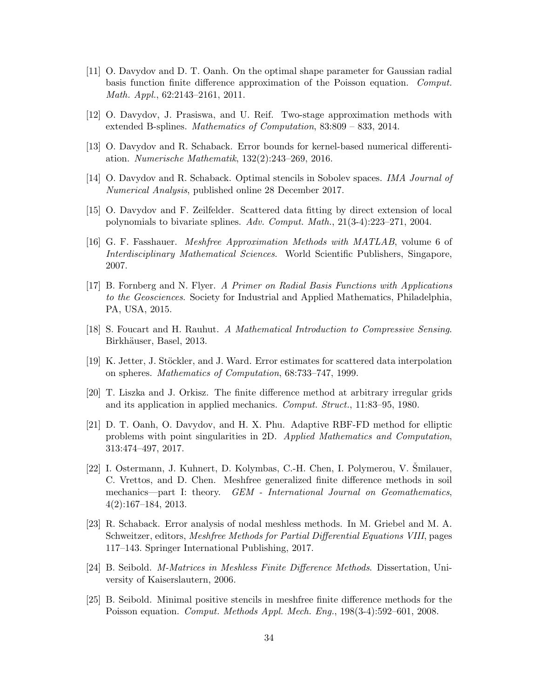- [11] O. Davydov and D. T. Oanh. On the optimal shape parameter for Gaussian radial basis function finite difference approximation of the Poisson equation. Comput. Math. Appl., 62:2143–2161, 2011.
- [12] O. Davydov, J. Prasiswa, and U. Reif. Two-stage approximation methods with extended B-splines. Mathematics of Computation, 83:809 – 833, 2014.
- [13] O. Davydov and R. Schaback. Error bounds for kernel-based numerical differentiation. Numerische Mathematik, 132(2):243–269, 2016.
- [14] O. Davydov and R. Schaback. Optimal stencils in Sobolev spaces. IMA Journal of Numerical Analysis, published online 28 December 2017.
- [15] O. Davydov and F. Zeilfelder. Scattered data fitting by direct extension of local polynomials to bivariate splines. Adv. Comput. Math., 21(3-4):223–271, 2004.
- [16] G. F. Fasshauer. Meshfree Approximation Methods with MATLAB, volume 6 of Interdisciplinary Mathematical Sciences. World Scientific Publishers, Singapore, 2007.
- [17] B. Fornberg and N. Flyer. A Primer on Radial Basis Functions with Applications to the Geosciences. Society for Industrial and Applied Mathematics, Philadelphia, PA, USA, 2015.
- [18] S. Foucart and H. Rauhut. A Mathematical Introduction to Compressive Sensing. Birkhäuser, Basel, 2013.
- [19] K. Jetter, J. Stöckler, and J. Ward. Error estimates for scattered data interpolation on spheres. Mathematics of Computation, 68:733–747, 1999.
- [20] T. Liszka and J. Orkisz. The finite difference method at arbitrary irregular grids and its application in applied mechanics. Comput. Struct., 11:83–95, 1980.
- [21] D. T. Oanh, O. Davydov, and H. X. Phu. Adaptive RBF-FD method for elliptic problems with point singularities in 2D. Applied Mathematics and Computation, 313:474–497, 2017.
- [22] I. Ostermann, J. Kuhnert, D. Kolymbas, C.-H. Chen, I. Polymerou, V. Smilauer, C. Vrettos, and D. Chen. Meshfree generalized finite difference methods in soil mechanics—part I: theory. GEM - International Journal on Geomathematics, 4(2):167–184, 2013.
- [23] R. Schaback. Error analysis of nodal meshless methods. In M. Griebel and M. A. Schweitzer, editors, *Meshfree Methods for Partial Differential Equations VIII*, pages 117–143. Springer International Publishing, 2017.
- [24] B. Seibold. M-Matrices in Meshless Finite Difference Methods. Dissertation, University of Kaiserslautern, 2006.
- [25] B. Seibold. Minimal positive stencils in meshfree finite difference methods for the Poisson equation. Comput. Methods Appl. Mech. Eng., 198(3-4):592–601, 2008.